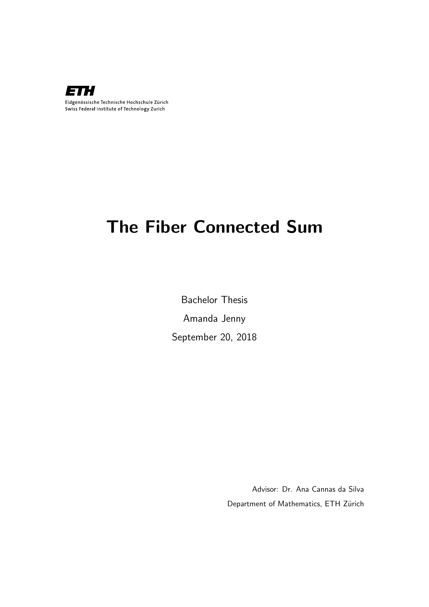

# The Fiber Connected Sum

Bachelor Thesis Amanda Jenny September 20, 2018

> Advisor: Dr. Ana Cannas da Silva Department of Mathematics, ETH Zürich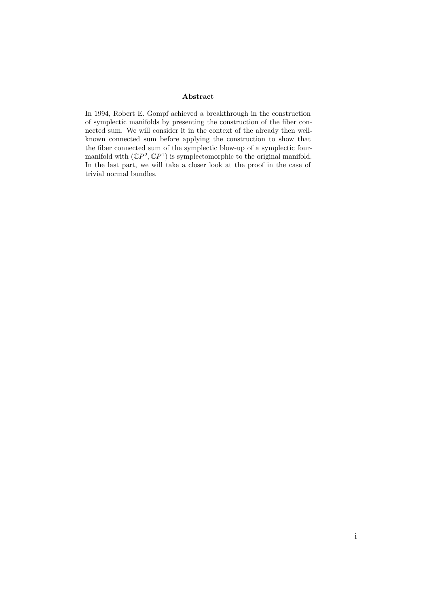#### Abstract

In 1994, Robert E. Gompf achieved a breakthrough in the construction of symplectic manifolds by presenting the construction of the fiber connected sum. We will consider it in the context of the already then wellknown connected sum before applying the construction to show that the fiber connected sum of the symplectic blow-up of a symplectic fourmanifold with  $(\mathbb{C}P^2, \mathbb{C}P^1)$  is symplectomorphic to the original manifold. In the last part, we will take a closer look at the proof in the case of trivial normal bundles.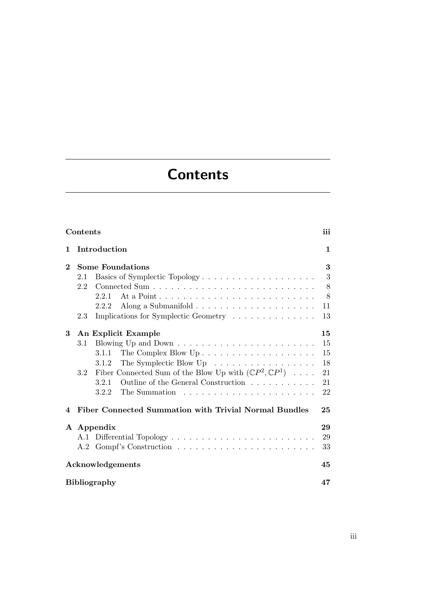# **Contents**

<span id="page-4-0"></span>

| Contents                                                                                                                                                                                                                                                                                                                               | iii                                    |
|----------------------------------------------------------------------------------------------------------------------------------------------------------------------------------------------------------------------------------------------------------------------------------------------------------------------------------------|----------------------------------------|
| Introduction<br>1                                                                                                                                                                                                                                                                                                                      | $\mathbf 1$                            |
| <b>Some Foundations</b><br>$\bf{2}$<br>Basics of Symplectic Topology<br>2.1<br>2.2<br>2.2.1<br>2.2.2<br>Implications for Symplectic Geometry<br>2.3                                                                                                                                                                                    | 3<br>3<br>8<br>8<br>11<br>13           |
| 3<br>An Explicit Example<br>3.1<br>The Complex Blow $Up \dots \dots \dots \dots \dots \dots \dots$<br>3.1.1<br>The Symplectic Blow $Up \dots \dots \dots \dots \dots \dots$<br>3.1.2<br>Fiber Connected Sum of the Blow Up with $(\mathbb{C}P^2, \mathbb{C}P^1) \dots$<br>3.2<br>Outline of the General Construction<br>3.2.1<br>3.2.2 | 15<br>15<br>15<br>18<br>21<br>21<br>22 |
| Fiber Connected Summation with Trivial Normal Bundles<br>4                                                                                                                                                                                                                                                                             | 25                                     |
| A Appendix<br>A.1                                                                                                                                                                                                                                                                                                                      | 29<br>29<br>33<br>45                   |
| Acknowledgements<br><b>Bibliography</b>                                                                                                                                                                                                                                                                                                | 47                                     |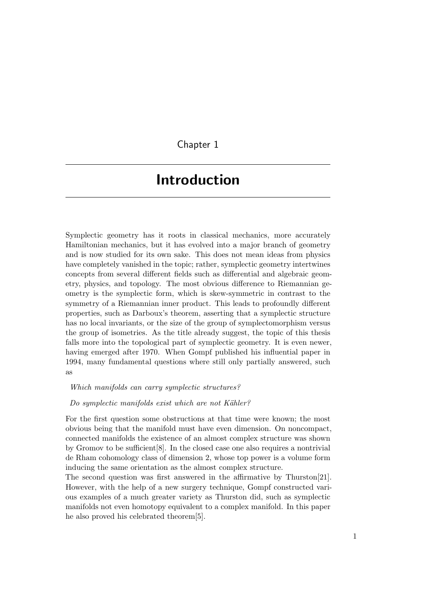Chapter 1

## <span id="page-6-0"></span>Introduction

Symplectic geometry has it roots in classical mechanics, more accurately Hamiltonian mechanics, but it has evolved into a major branch of geometry and is now studied for its own sake. This does not mean ideas from physics have completely vanished in the topic; rather, symplectic geometry intertwines concepts from several different fields such as differential and algebraic geometry, physics, and topology. The most obvious difference to Riemannian geometry is the symplectic form, which is skew-symmetric in contrast to the symmetry of a Riemannian inner product. This leads to profoundly different properties, such as Darboux's theorem, asserting that a symplectic structure has no local invariants, or the size of the group of symplectomorphism versus the group of isometries. As the title already suggest, the topic of this thesis falls more into the topological part of symplectic geometry. It is even newer, having emerged after 1970. When Gompf published his influential paper in 1994, many fundamental questions where still only partially answered, such as

Which manifolds can carry symplectic structures?

Do symplectic manifolds exist which are not Kähler?

For the first question some obstructions at that time were known; the most obvious being that the manifold must have even dimension. On noncompact, connected manifolds the existence of an almost complex structure was shown by Gromov to be sufficient[\[8\]](#page-52-1). In the closed case one also requires a nontrivial de Rham cohomology class of dimension 2, whose top power is a volume form inducing the same orientation as the almost complex structure.

The second question was first answered in the affirmative by Thurston[\[21\]](#page-53-0). However, with the help of a new surgery technique, Gompf constructed various examples of a much greater variety as Thurston did, such as symplectic manifolds not even homotopy equivalent to a complex manifold. In this paper he also proved his celebrated theorem[\[5\]](#page-52-2).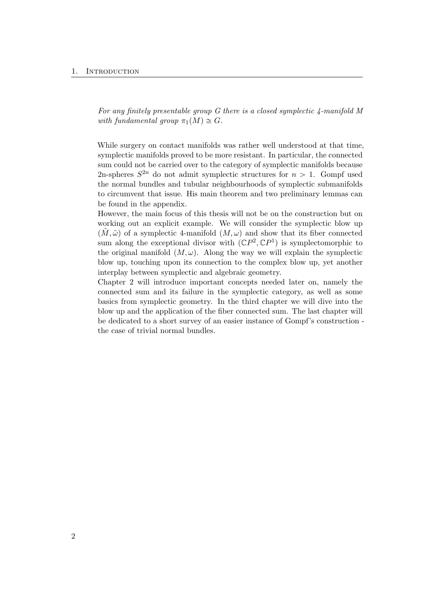#### 1. INTRODUCTION

For any finitely presentable group G there is a closed symplectic 4-manifold M with fundamental group  $\pi_1(M) \cong G$ .

While surgery on contact manifolds was rather well understood at that time, symplectic manifolds proved to be more resistant. In particular, the connected sum could not be carried over to the category of symplectic manifolds because 2n-spheres  $S^{2n}$  do not admit symplectic structures for  $n > 1$ . Gompf used the normal bundles and tubular neighbourhoods of symplectic submanifolds to circumvent that issue. His main theorem and two preliminary lemmas can be found in the appendix.

However, the main focus of this thesis will not be on the construction but on working out an explicit example. We will consider the symplectic blow up  $(M, \tilde{\omega})$  of a symplectic 4-manifold  $(M, \omega)$  and show that its fiber connected sum along the exceptional divisor with  $({\mathbb{C}}P^2, {\mathbb{C}}P^1)$  is symplectomorphic to the original manifold  $(M, \omega)$ . Along the way we will explain the symplectic blow up, touching upon its connection to the complex blow up, yet another interplay between symplectic and algebraic geometry.

Chapter 2 will introduce important concepts needed later on, namely the connected sum and its failure in the symplectic category, as well as some basics from symplectic geometry. In the third chapter we will dive into the blow up and the application of the fiber connected sum. The last chapter will be dedicated to a short survey of an easier instance of Gompf's construction the case of trivial normal bundles.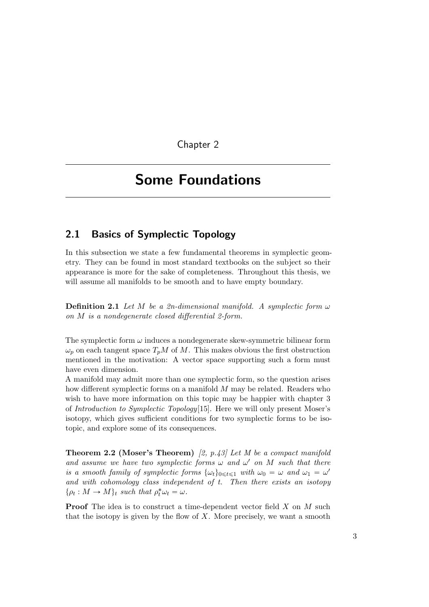Chapter 2

# <span id="page-8-0"></span>Some Foundations

## <span id="page-8-1"></span>2.1 Basics of Symplectic Topology

In this subsection we state a few fundamental theorems in symplectic geometry. They can be found in most standard textbooks on the subject so their appearance is more for the sake of completeness. Throughout this thesis, we will assume all manifolds to be smooth and to have empty boundary.

**Definition 2.1** Let M be a 2n-dimensional manifold. A symplectic form  $\omega$ on M is a nondegenerate closed differential 2-form.

The symplectic form  $\omega$  induces a nondegenerate skew-symmetric bilinear form  $\omega_p$  on each tangent space  $T_pM$  of M. This makes obvious the first obstruction mentioned in the motivation: A vector space supporting such a form must have even dimension.

A manifold may admit more than one symplectic form, so the question arises how different symplectic forms on a manifold M may be related. Readers who wish to have more information on this topic may be happier with chapter 3 of Introduction to Symplectic Topology[\[15\]](#page-53-1). Here we will only present Moser's isotopy, which gives sufficient conditions for two symplectic forms to be isotopic, and explore some of its consequences.

**Theorem 2.2 (Moser's Theorem)** [\[2,](#page-52-3) p.43] Let M be a compact manifold and assume we have two symplectic forms  $\omega$  and  $\omega'$  on M such that there is a smooth family of symplectic forms  $\{\omega_t\}_{0 \leq t \leq 1}$  with  $\omega_0 = \omega$  and  $\omega_1 = \omega'$ and with cohomology class independent of t. Then there exists an isotopy  $\{\rho_t: M \to M\}_t$  such that  $\rho_t^* \omega_t = \omega$ .

**Proof** The idea is to construct a time-dependent vector field X on M such that the isotopy is given by the flow of  $X$ . More precisely, we want a smooth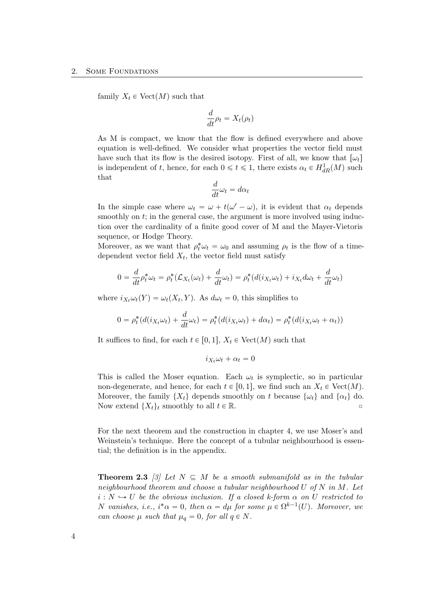family  $X_t \in \text{Vect}(M)$  such that

$$
\frac{d}{dt}\rho_t = X_t(\rho_t)
$$

As M is compact, we know that the flow is defined everywhere and above equation is well-defined. We consider what properties the vector field must have such that its flow is the desired isotopy. First of all, we know that  $[\omega_t]$ is independent of t, hence, for each  $0 \le t \le 1$ , there exists  $\alpha_t \in H_{dR}^1(M)$  such that

$$
\frac{d}{dt}\omega_t = d\alpha_t
$$

In the simple case where  $\omega_t = \omega + t(\omega' - \omega)$ , it is evident that  $\alpha_t$  depends smoothly on  $t$ ; in the general case, the argument is more involved using induction over the cardinality of a finite good cover of M and the Mayer-Vietoris sequence, or Hodge Theory.

Moreover, as we want that  $\rho_t^* \omega_t = \omega_0$  and assuming  $\rho_t$  is the flow of a timedependent vector field  $X_t$ , the vector field must satisfy

$$
0 = \frac{d}{dt}\rho_t^* \omega_t = \rho_t^* (\mathcal{L}_{X_t}(\omega_t) + \frac{d}{dt}\omega_t) = \rho_t^* (d(i_{X_t}\omega_t) + i_{X_t}d\omega_t + \frac{d}{dt}\omega_t)
$$

where  $i_{X_t}\omega_t(Y) = \omega_t(X_t, Y)$ . As  $d\omega_t = 0$ , this simplifies to

$$
0 = \rho_t^*(d(i_{X_t}\omega_t) + \frac{d}{dt}\omega_t) = \rho_t^*(d(i_{X_t}\omega_t) + d\alpha_t) = \rho_t^*(d(i_{X_t}\omega_t + \alpha_t))
$$

It suffices to find, for each  $t \in [0, 1], X_t \in \text{Vect}(M)$  such that

$$
i_{X_t}\omega_t + \alpha_t = 0
$$

This is called the Moser equation. Each  $\omega_t$  is symplectic, so in particular non-degenerate, and hence, for each  $t \in [0, 1]$ , we find such an  $X_t \in \text{Vect}(M)$ . Moreover, the family  $\{X_t\}$  depends smoothly on t because  $\{\omega_t\}$  and  $\{\alpha_t\}$  do. Now extend  $\{X_t\}_t$  smoothly to all  $t \in \mathbb{R}$ .

For the next theorem and the construction in chapter 4, we use Moser's and Weinstein's technique. Here the concept of a tubular neighbourhood is essential; the definition is in the appendix.

**Theorem 2.3** [\[3\]](#page-52-4) Let  $N \subseteq M$  be a smooth submanifold as in the tubular neighbourhood theorem and choose a tubular neighbourhood U of N in M. Let  $i: N \hookrightarrow U$  be the obvious inclusion. If a closed k-form  $\alpha$  on U restricted to N vanishes, i.e.,  $i^*\alpha = 0$ , then  $\alpha = d\mu$  for some  $\mu \in \Omega^{k-1}(U)$ . Moreover, we can choose  $\mu$  such that  $\mu_q = 0$ , for all  $q \in N$ .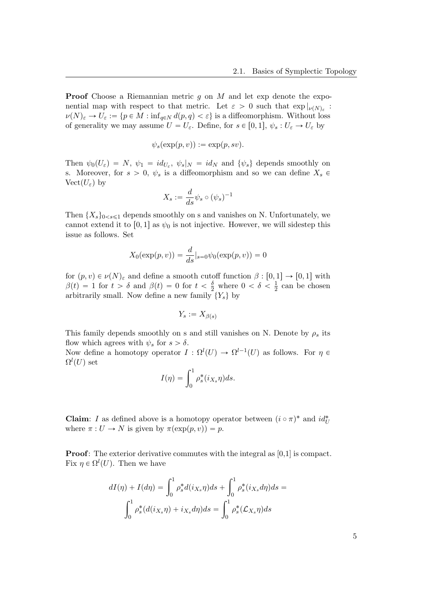**Proof** Choose a Riemannian metric q on M and let exp denote the exponential map with respect to that metric. Let  $\varepsilon > 0$  such that  $\exp |_{\nu(N)_{\varepsilon}}$ :  $\nu(N)_{\varepsilon} \to U_{\varepsilon} := \{p \in M : \inf_{q \in N} d(p,q) < \varepsilon\}$  is a diffeomorphism. Without loss of generality we may assume  $U = U_{\varepsilon}$ . Define, for  $s \in [0, 1], \psi_s : U_{\varepsilon} \to U_{\varepsilon}$  by

$$
\psi_s(\exp(p,v)) := \exp(p,sv).
$$

Then  $\psi_0(U_\varepsilon) = N$ ,  $\psi_1 = id_{U_\varepsilon}$ ,  $\psi_s|_N = id_N$  and  $\{\psi_s\}$  depends smoothly on s. Moreover, for  $s > 0$ ,  $\psi_s$  is a diffeomorphism and so we can define  $X_s \in$ Vect $(U_{\varepsilon})$  by

$$
X_s := \frac{d}{ds} \psi_s \circ (\psi_s)^{-1}
$$

Then  $\{X_s\}_{0\leq s\leq 1}$  depends smoothly on s and vanishes on N. Unfortunately, we cannot extend it to [0, 1] as  $\psi_0$  is not injective. However, we will sidestep this issue as follows. Set

$$
X_0(\exp(p, v)) = \frac{d}{ds}|_{s=0} \psi_0(\exp(p, v)) = 0
$$

for  $(p, v) \in \nu(N)_{\varepsilon}$  and define a smooth cutoff function  $\beta : [0, 1] \to [0, 1]$  with  $\beta(t) = 1$  for  $t > \delta$  and  $\beta(t) = 0$  for  $t < \frac{\delta}{2}$  where  $0 < \delta < \frac{1}{2}$  $\frac{1}{2}$  can be chosen arbitrarily small. Now define a new family  $\{Y_s\}$  by

$$
Y_s := X_{\beta(s)}
$$

This family depends smoothly on s and still vanishes on N. Denote by  $\rho_s$  its flow which agrees with  $\psi_s$  for  $s > \delta$ .

Now define a homotopy operator  $I: \Omega^l(U) \to \Omega^{l-1}(U)$  as follows. For  $\eta \in$  $\Omega^l(U)$  set

$$
I(\eta) = \int_0^1 \rho_s^*(i_{X_s}\eta) ds.
$$

**Claim**: I as defined above is a homotopy operator between  $(i \circ \pi)^*$  and  $id_U^*$ where  $\pi: U \to N$  is given by  $\pi(\exp(p, v)) = p$ .

**Proof:** The exterior derivative commutes with the integral as [0,1] is compact. Fix  $\eta \in \Omega^l(U)$ . Then we have

$$
dI(\eta) + I(d\eta) = \int_0^1 \rho_s^* d(i_{X_s}\eta) ds + \int_0^1 \rho_s^*(i_{X_s}d\eta) ds =
$$

$$
\int_0^1 \rho_s^* (d(i_{X_s}\eta) + i_{X_s}d\eta) ds = \int_0^1 \rho_s^* (\mathcal{L}_{X_s}\eta) ds
$$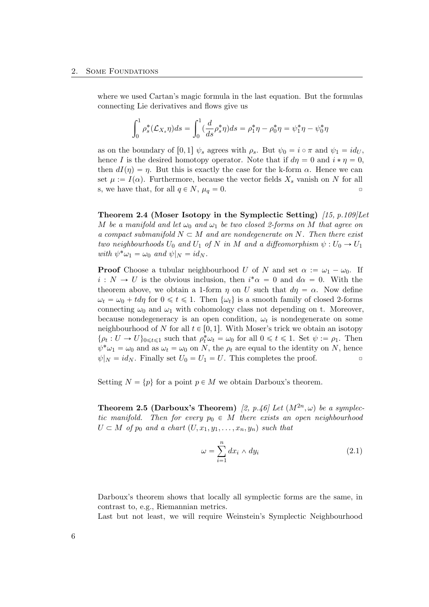where we used Cartan's magic formula in the last equation. But the formulas connecting Lie derivatives and flows give us

$$
\int_0^1 \rho_s^*(\mathcal{L}_{X_s} \eta) ds = \int_0^1 (\frac{d}{ds} \rho_s^* \eta) ds = \rho_1^* \eta - \rho_0^* \eta = \psi_1^* \eta - \psi_0^* \eta
$$

as on the boundary of [0, 1]  $\psi_s$  agrees with  $\rho_s$ . But  $\psi_0 = i \circ \pi$  and  $\psi_1 = id_U$ , hence I is the desired homotopy operator. Note that if  $d\eta = 0$  and  $i * \eta = 0$ , then  $dI(\eta) = \eta$ . But this is exactly the case for the k-form  $\alpha$ . Hence we can set  $\mu := I(\alpha)$ . Furthermore, because the vector fields  $X_s$  vanish on N for all s, we have that, for all  $q \in N$ ,  $\mu_q = 0$ .

Theorem 2.4 (Moser Isotopy in the Symplectic Setting)  $(15, p.109]$ Let M be a manifold and let  $\omega_0$  and  $\omega_1$  be two closed 2-forms on M that agree on a compact submanifold  $N \subset M$  and are nondegenerate on N. Then there exist two neighbourhoods  $U_0$  and  $U_1$  of N in M and a diffeomorphism  $\psi : U_0 \to U_1$ with  $\psi^* \omega_1 = \omega_0$  and  $\psi|_N = id_N$ .

**Proof** Choose a tubular neighbourhood U of N and set  $\alpha := \omega_1 - \omega_0$ . If  $i: N \to U$  is the obvious inclusion, then  $i^* \alpha = 0$  and  $d\alpha = 0$ . With the theorem above, we obtain a 1-form  $\eta$  on U such that  $d\eta = \alpha$ . Now define  $\omega_t = \omega_0 + t d\eta$  for  $0 \le t \le 1$ . Then  $\{\omega_t\}$  is a smooth family of closed 2-forms connecting  $\omega_0$  and  $\omega_1$  with cohomology class not depending on t. Moreover, because nondegeneracy is an open condition,  $\omega_t$  is nondegenerate on some neighbourhood of N for all  $t \in [0, 1]$ . With Moser's trick we obtain an isotopy  $\{\rho_t: U \to U\}_{0 \leq t \leq 1}$  such that  $\rho_t^* \omega_t = \omega_0$  for all  $0 \leq t \leq 1$ . Set  $\psi := \rho_1$ . Then  $\psi^* \omega_1 = \omega_0$  and as  $\omega_t = \omega_0$  on N, the  $\rho_t$  are equal to the identity on N, hence  $\psi|_N = id_N$ . Finally set  $U_0 = U_1 = U$ . This completes the proof.

Setting  $N = \{p\}$  for a point  $p \in M$  we obtain Darboux's theorem.

**Theorem 2.5 (Darboux's Theorem)** [\[2,](#page-52-3) p.46] Let  $(M^{2n}, \omega)$  be a symplectic manifold. Then for every  $p_0 \in M$  there exists an open neighbourhood  $U \subset M$  of  $p_0$  and a chart  $(U, x_1, y_1, \ldots, x_n, y_n)$  such that

$$
\omega = \sum_{i=1}^{n} dx_i \wedge dy_i \tag{2.1}
$$

Darboux's theorem shows that locally all symplectic forms are the same, in contrast to, e.g., Riemannian metrics.

Last but not least, we will require Weinstein's Symplectic Neighbourhood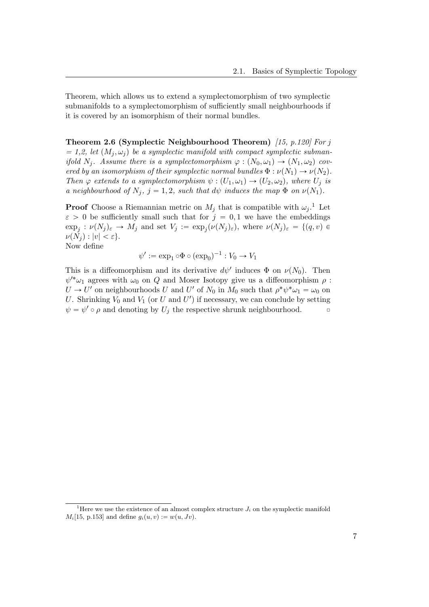Theorem, which allows us to extend a symplectomorphism of two symplectic submanifolds to a symplectomorphism of sufficiently small neighbourhoods if it is covered by an isomorphism of their normal bundles.

Theorem 2.6 (Symplectic Neighbourhood Theorem) [\[15,](#page-53-1) p.120] For j  $= 1, 2$ , let  $(M_j, \omega_j)$  be a symplectic manifold with compact symplectic submanifold  $N_j$ . Assume there is a symplectomorphism  $\varphi : (N_0, \omega_1) \to (N_1, \omega_2)$  covered by an isomorphism of their symplectic normal bundles  $\Phi : \nu(N_1) \to \nu(N_2)$ . Then  $\varphi$  extends to a symplectomorphism  $\psi : (U_1, \omega_1) \to (U_2, \omega_2)$ , where  $U_j$  is a neighbourhood of  $N_j$ ,  $j = 1, 2$ , such that d $\psi$  induces the map  $\Phi$  on  $\nu(N_1)$ .

**Proof** Choose a Riemannian metric on  $M_j$  that is compatible with  $\omega_j$ .<sup>[1](#page-12-0)</sup> Let  $\varepsilon > 0$  be sufficiently small such that for  $j = 0, 1$  we have the embeddings  $\exp_j: \nu(N_j)_{\varepsilon} \to M_j$  and set  $V_j := \exp_j(\nu(N_j)_{\varepsilon})$ , where  $\nu(N_j)_{\varepsilon} = \{(q, v) \in$  $\nu(N_i) : |v| < \varepsilon$ .

Now define

$$
\psi' := \exp_1 \circ \Phi \circ (\exp_0)^{-1} : V_0 \to V_1
$$

This is a diffeomorphism and its derivative  $d\psi'$  induces  $\Phi$  on  $\nu(N_0)$ . Then  $\psi'^*\omega_1$  agrees with  $\omega_0$  on Q and Moser Isotopy give us a diffeomorphism  $\rho$ :  $U \to U'$  on neighbourhoods U and U' of  $N_0$  in  $M_0$  such that  $\rho^* \psi^* \omega_1 = \omega_0$  on U. Shrinking  $V_0$  and  $V_1$  (or U and U') if necessary, we can conclude by setting  $\psi = \psi' \circ \rho$  and denoting by  $U_j$  the respective shrunk neighbourhood.

<span id="page-12-0"></span><sup>&</sup>lt;sup>1</sup>Here we use the existence of an almost complex structure  $J_i$  on the symplectic manifold  $M_i[15, p.153]$  $M_i[15, p.153]$  $M_i[15, p.153]$  and define  $q_i(u, v) := w(u, Jv)$ .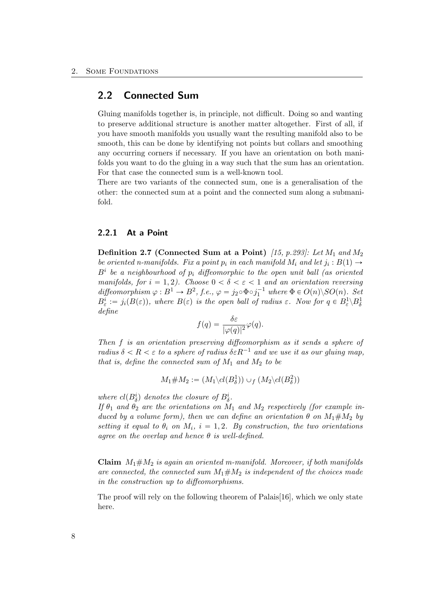### <span id="page-13-0"></span>2.2 Connected Sum

Gluing manifolds together is, in principle, not difficult. Doing so and wanting to preserve additional structure is another matter altogether. First of all, if you have smooth manifolds you usually want the resulting manifold also to be smooth, this can be done by identifying not points but collars and smoothing any occurring corners if necessary. If you have an orientation on both manifolds you want to do the gluing in a way such that the sum has an orientation. For that case the connected sum is a well-known tool.

There are two variants of the connected sum, one is a generalisation of the other: the connected sum at a point and the connected sum along a submanifold.

#### <span id="page-13-1"></span>2.2.1 At a Point

**Definition 2.7 (Connected Sum at a Point)** [\[15,](#page-53-1) p.293]: Let  $M_1$  and  $M_2$ be oriented n-manifolds. Fix a point  $p_i$  in each manifold  $M_i$  and let  $j_i : B(1) \rightarrow$  $B<sup>i</sup>$  be a neighbourhood of  $p<sub>i</sub>$  diffeomorphic to the open unit ball (as oriented manifolds, for  $i = 1, 2$ ). Choose  $0 < \delta < \varepsilon < 1$  and an orientation reversing diffeomorphism  $\varphi : B^1 \to B^2$ , f.e.,  $\varphi = j_2 \circ \Phi \circ j_1^{-1}$  where  $\Phi \in O(n) \setminus SO(n)$ . Set  $B_{\varepsilon}^i := j_i(B(\varepsilon))$ , where  $B(\varepsilon)$  is the open ball of radius  $\varepsilon$ . Now for  $q \in B_{\varepsilon}^1 \backslash B_{\delta}^1$ define

$$
f(q) = \frac{\delta \varepsilon}{|\varphi(q)|^2} \varphi(q).
$$

Then f is an orientation preserving diffeomorphism as it sends a sphere of radius  $\delta < R < \varepsilon$  to a sphere of radius  $\delta \varepsilon R^{-1}$  and we use it as our gluing map, that is, define the connected sum of  $M_1$  and  $M_2$  to be

 $M_1 \# M_2 := (M_1 \backslash cl(B^1_\delta)) \cup_f (M_2 \backslash cl(B^2_\delta))$ 

where  $cl(B^i_{\delta})$  denotes the closure of  $B^i_{\delta}$ .

If  $\theta_1$  and  $\theta_2$  are the orientations on  $M_1$  and  $M_2$  respectively (for example induced by a volume form), then we can define an orientation  $\theta$  on  $M_1 \# M_2$  by setting it equal to  $\theta_i$  on  $M_i$ ,  $i = 1, 2$ . By construction, the two orientations agree on the overlap and hence  $\theta$  is well-defined.

**Claim**  $M_1 \# M_2$  is again an oriented m-manifold. Moreover, if both manifolds are connected, the connected sum  $M_1 \# M_2$  is independent of the choices made in the construction up to diffeomorphisms.

The proof will rely on the following theorem of Palais[\[16\]](#page-53-2), which we only state here.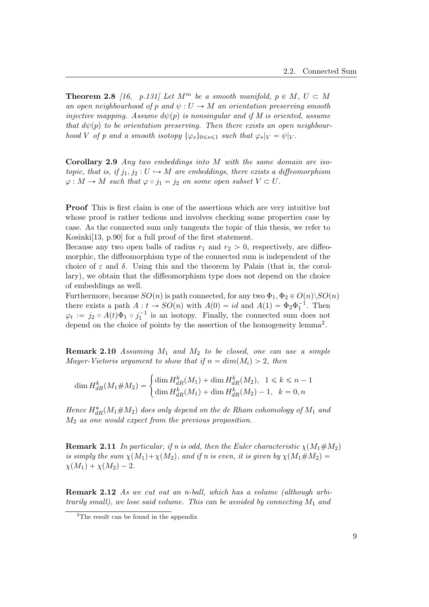**Theorem 2.8** [\[16,](#page-53-2) p.131] Let  $M^m$  be a smooth manifold,  $p \in M$ ,  $U \subset M$ an open neighbourhood of p and  $\psi : U \to M$  an orientation preserving smooth injective mapping. Assume  $d\psi(p)$  is nonsingular and if M is oriented, assume that  $d\psi(p)$  to be orientation preserving. Then there exists an open neighbourhood V of p and a smooth isotopy  $\{\varphi_s\}_{0\leq s\leq 1}$  such that  $\varphi_s|_V = \psi|_V$ .

**Corollary 2.9** Any two embeddings into  $M$  with the same domain are isotopic, that is, if  $j_1, j_2 : U \hookrightarrow M$  are embeddings, there exists a diffeomorphism  $\varphi: M \to M$  such that  $\varphi \circ j_1 = j_2$  on some open subset  $V \subset U$ .

Proof This is first claim is one of the assertions which are very intuitive but whose proof is rather tedious and involves checking some properties case by case. As the connected sum only tangents the topic of this thesis, we refer to Kosinki[\[13,](#page-53-3) p.90] for a full proof of the first statement.

Because any two open balls of radius  $r_1$  and  $r_2 > 0$ , respectively, are diffeomorphic, the diffeomorphism type of the connected sum is independent of the choice of  $\varepsilon$  and  $\delta$ . Using this and the theorem by Palais (that is, the corollary), we obtain that the diffeomorphism type does not depend on the choice of embeddings as well.

Furthermore, because  $SO(n)$  is path connected, for any two  $\Phi_1, \Phi_2 \in O(n) \setminus SO(n)$ there exists a path  $A: t \to SO(n)$  with  $A(0) = id$  and  $A(1) = \Phi_2 \Phi_1^{-1}$ . Then 1  $\varphi_t := j_2 \circ A(t) \Phi_1 \circ j_1^{-1}$  is an isotopy. Finally, the connected sum does not depend on the choice of points by the assertion of the homogeneity lemma<sup>[2](#page-14-0)</sup>.

**Remark 2.10** Assuming  $M_1$  and  $M_2$  to be closed, one can use a simple Mayer-Vietoris argument to show that if  $n = dim(M_i) > 2$ , then

$$
\dim H_{dR}^k(M_1 \# M_2) = \begin{cases} \dim H_{dR}^k(M_1) + \dim H_{dR}^k(M_2), & 1 \le k \le n - 1\\ \dim H_{dR}^k(M_1) + \dim H_{dR}^k(M_2) - 1, & k = 0, n \end{cases}
$$

Hence  $H_{dR}^*(M_1 \# M_2)$  does only depend on the de Rham cohomology of  $M_1$  and  $M_2$  as one would expect from the previous proposition.

**Remark 2.11** In particular, if n is odd, then the Euler characteristic  $\chi(M_1 \# M_2)$ is simply the sum  $\chi(M_1)+\chi(M_2)$ , and if n is even, it is given by  $\chi(M_1 \#M_2) =$  $\chi(M_1) + \chi(M_2) - 2.$ 

Remark 2.12 As we cut out an n-ball, which has a volume (although arbitrarily small), we lose said volume. This can be avoided by connecting  $M_1$  and

<span id="page-14-0"></span><sup>2</sup>The result can be found in the appendix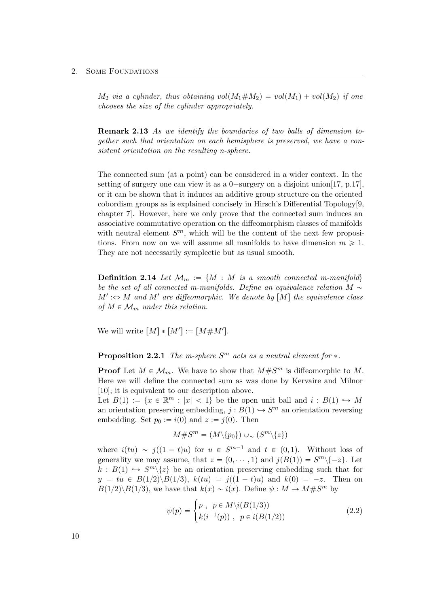$M_2$  via a cylinder, thus obtaining vol $(M_1 \# M_2) = vol(M_1) + vol(M_2)$  if one chooses the size of the cylinder appropriately.

Remark 2.13 As we identify the boundaries of two balls of dimension together such that orientation on each hemisphere is preserved, we have a consistent orientation on the resulting n-sphere.

The connected sum (at a point) can be considered in a wider context. In the setting of surgery one can view it as a  $0$ -surgery on a disjoint union[\[17,](#page-53-4) p.17], or it can be shown that it induces an additive group structure on the oriented cobordism groups as is explained concisely in Hirsch's Differential Topology[\[9,](#page-52-5) chapter 7]. However, here we only prove that the connected sum induces an associative commutative operation on the diffeomorphism classes of manifolds with neutral element  $S^m$ , which will be the content of the next few propositions. From now on we will assume all manifolds to have dimension  $m \geq 1$ . They are not necessarily symplectic but as usual smooth.

**Definition 2.14** Let  $\mathcal{M}_m := \{M : M \text{ is a smooth connected } m\text{-manifold}\}\$ be the set of all connected m-manifolds. Define an equivalence relation  $M \sim$  $M' \Leftrightarrow M$  and  $M'$  are diffeomorphic. We denote by  $[M]$  the equivalence class of  $M \in \mathcal{M}_m$  under this relation.

We will write  $[M] * [M'] := [M \# M']$ .

### **Proposition 2.2.1** The m-sphere  $S<sup>m</sup>$  acts as a neutral element for  $*$ .

**Proof** Let  $M \in \mathcal{M}_m$ . We have to show that  $M \# S^m$  is diffeomorphic to M. Here we will define the connected sum as was done by Kervaire and Milnor [\[10\]](#page-52-6); it is equivalent to our description above.

Let  $B(1) := \{x \in \mathbb{R}^m : |x| < 1\}$  be the open unit ball and  $i : B(1) \hookrightarrow M$ an orientation preserving embedding,  $j : B(1) \hookrightarrow S^m$  an orientation reversing embedding. Set  $p_0 := i(0)$  and  $z := j(0)$ . Then

$$
M \# S^m = (M \setminus \{p_0\}) \cup \sim (S^m \setminus \{z\})
$$

where  $i(tu) \sim j((1-t)u)$  for  $u \in S^{m-1}$  and  $t \in (0, 1)$ . Without loss of generality we may assume, that  $z = (0, \dots, 1)$  and  $j(B(1)) = S^m \setminus \{-z\}$ . Let  $k : B(1) \hookrightarrow S^{m}\backslash\{z\}$  be an orientation preserving embedding such that for  $y = tu \in B(1/2) \setminus B(1/3), k(tu) = j((1 - t)u)$  and  $k(0) = -z$ . Then on  $B(1/2)\backslash B(1/3)$ , we have that  $k(x) \sim i(x)$ . Define  $\psi : M \to M \# S^m$  by

$$
\psi(p) = \begin{cases} p, & p \in M \setminus i(B(1/3)) \\ k(i^{-1}(p)), & p \in i(B(1/2)) \end{cases}
$$
 (2.2)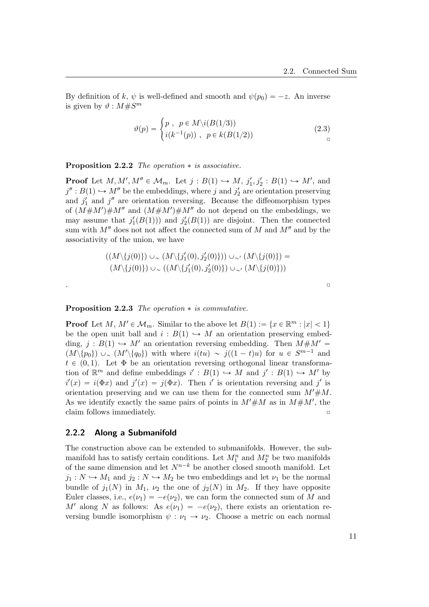By definition of k,  $\psi$  is well-defined and smooth and  $\psi(p_0) = -z$ . An inverse is given by  $\vartheta : M \# S^m$ 

$$
\vartheta(p) = \begin{cases} p, & p \in M \setminus i(B(1/3)) \\ i(k^{-1}(p)), & p \in k(B(1/2)) \end{cases}
$$
\n(2.3)

**Proposition 2.2.2** The operation  $*$  is associative.

**Proof** Let  $M, M', M'' \in \mathcal{M}_m$ . Let  $j : B(1) \hookrightarrow M$ ,  $j'_1, j'_2 : B(1) \hookrightarrow M'$ , and  $j'': B(1) \hookrightarrow M''$  be the embeddings, where j and  $j'_2$  are orientation preserving and  $j'_1$  and  $j''$  are orientation reversing. Because the diffeomorphism types of  $(M \# M') \# M''$  and  $(M \# M') \# M''$  do not depend on the embeddings, we may assume that  $j'_1(B(1))$  and  $j'_2(B(1))$  are disjoint. Then the connected sum with  $M''$  does not not affect the connected sum of M and  $M''$  and by the associativity of the union, we have

$$
((M\setminus\{j(0)\})\cup\_\setminus(M\setminus\{j'_1(0),j'_2(0)\}))\cup\_\setminus(M\setminus\{j(0)\})=(M\setminus\{j(0)\})\cup\_\setminus(M\setminus\{j'_1(0),j'_2(0)\})\cup\_\setminus(M\setminus\{j(0)\}))
$$

|  |  | - |
|--|--|---|
|  |  |   |
|  |  |   |

#### **Proposition 2.2.3** The operation  $*$  is commutative.

**Proof** Let  $M, M' \in \mathcal{M}_m$ . Similar to the above let  $B(1) := \{x \in \mathbb{R}^m : |x| < 1\}$ be the open unit ball and  $i : B(1) \hookrightarrow M$  an orientation preserving embedding,  $j : B(1) \hookrightarrow M'$  an orientation reversing embedding. Then  $M \# M' =$  $(M \setminus \{p_0\}) \cup \sim (M' \setminus \{q_0\})$  with where  $i(tu) \sim j((1-t)u)$  for  $u \in S^{m-1}$  and  $t \in (0, 1)$ . Let  $\Phi$  be an orientation reversing orthogonal linear transformation of  $\mathbb{R}^m$  and define embeddings  $i': B(1) \hookrightarrow M$  and  $j': B(1) \hookrightarrow M'$  by  $i'(x) = i(\Phi x)$  and  $j'(x) = j(\Phi x)$ . Then i' is orientation reversing and j' is orientation preserving and we can use them for the connected sum  $M' \# M$ . As we identify exactly the same pairs of points in  $M' \# M$  as in  $M \# M'$ , the claim follows immediately.

#### <span id="page-16-0"></span>2.2.2 Along a Submanifold

The construction above can be extended to submanifolds. However, the submanifold has to satisfy certain conditions. Let  $M_1^n$  and  $M_2^n$  be two manifolds of the same dimension and let  $N^{n-k}$  be another closed smooth manifold. Let  $j_1 : N \hookrightarrow M_1$  and  $j_2 : N \hookrightarrow M_2$  be two embeddings and let  $\nu_1$  be the normal bundle of  $j_1(N)$  in  $M_1$ ,  $\nu_2$  the one of  $j_2(N)$  in  $M_2$ . If they have opposite Euler classes, i.e.,  $e(\nu_1) = -e(\nu_2)$ , we can form the connected sum of M and M' along N as follows: As  $e(\nu_1) = -e(\nu_2)$ , there exists an orientation reversing bundle isomorphism  $\psi : \nu_1 \to \nu_2$ . Choose a metric on each normal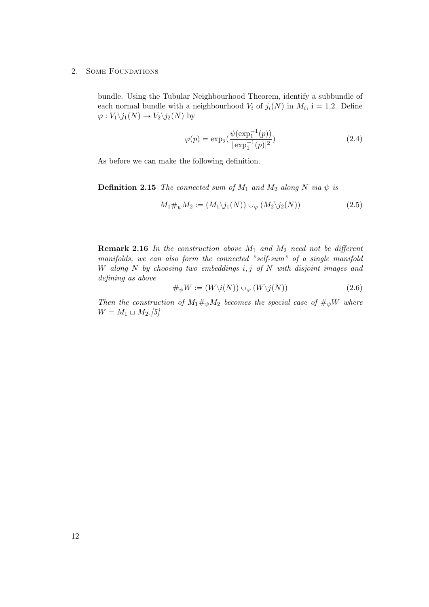bundle. Using the Tubular Neighbourhood Theorem, identify a subbundle of each normal bundle with a neighbourhood  $V_i$  of  $j_i(N)$  in  $M_i$ , i = 1,2. Define  $\varphi: V_1\backslash j_1(N) \to V_2\backslash j_2(N)$  by

$$
\varphi(p) = \exp_2(\frac{\psi(\exp_1^{-1}(p))}{|\exp_1^{-1}(p)|^2})
$$
\n(2.4)

As before we can make the following definition.

**Definition 2.15** The connected sum of  $M_1$  and  $M_2$  along N via  $\psi$  is

$$
M_1 \#_{\psi} M_2 := (M_1 \setminus j_1(N)) \cup_{\varphi} (M_2 \setminus j_2(N)) \tag{2.5}
$$

**Remark 2.16** In the construction above  $M_1$  and  $M_2$  need not be different manifolds, we can also form the connected "self-sum" of a single manifold W along  $N$  by choosing two embeddings  $i, j$  of  $N$  with disjoint images and defining as above

$$
\#_{\psi} W := (W \backslash i(N)) \cup_{\varphi} (W \backslash j(N)) \tag{2.6}
$$

Then the construction of  $M_1\#\psi M_2$  becomes the special case of  $\#\psi W$  where  $W = M_1 \sqcup M_2.[5]$  $W = M_1 \sqcup M_2.[5]$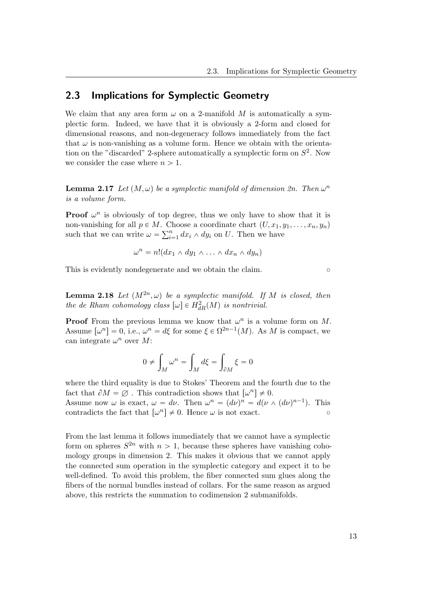## <span id="page-18-0"></span>2.3 Implications for Symplectic Geometry

We claim that any area form  $\omega$  on a 2-manifold M is automatically a symplectic form. Indeed, we have that it is obviously a 2-form and closed for dimensional reasons, and non-degeneracy follows immediately from the fact that  $\omega$  is non-vanishing as a volume form. Hence we obtain with the orientation on the "discarded" 2-sphere automatically a symplectic form on  $S^2$ . Now we consider the case where  $n > 1$ .

**Lemma 2.17** Let  $(M, \omega)$  be a symplectic manifold of dimension  $2n$ . Then  $\omega^n$ is a volume form.

**Proof**  $\omega^n$  is obviously of top degree, thus we only have to show that it is non-vanishing for all  $p \in M$ . Choose a coordinate chart  $(U, x_1, y_1, \ldots, x_n, y_n)$ non-vanishing for all  $p \in M$ . C.<br>such that we can write  $\omega = \sum_{i=1}^{n}$  $\sum_{i=1}^n dx_i \wedge dy_i$  on U. Then we have

$$
\omega^n = n!(dx_1 \wedge dy_1 \wedge \ldots \wedge dx_n \wedge dy_n)
$$

This is evidently nondegenerate and we obtain the claim.  $\Box$ 

**Lemma 2.18** Let  $(M^{2n}, \omega)$  be a symplectic manifold. If M is closed, then the de Rham cohomology class  $[\omega] \in H_{dR}^2(M)$  is nontrivial.

**Proof** From the previous lemma we know that  $\omega^n$  is a volume form on M. Assume  $[\omega^n] = 0$ , i.e.,  $\omega^n = d\xi$  for some  $\xi \in \Omega^{2n-1}(M)$ . As M is compact, we can integrate  $\omega^n$  over M:

$$
0 \neq \int_M \omega^n = \int_M d\xi = \int_{\partial M} \xi = 0
$$

where the third equality is due to Stokes' Theorem and the fourth due to the fact that  $\partial M = \emptyset$ . This contradiction shows that  $\left[\omega^n\right] \neq 0$ . Assume now  $\omega$  is exact,  $\omega = d\nu$ . Then  $\omega^n = (d\nu)^n = d(\nu \wedge (d\nu)^{n-1})$ . This contradicts the fact that  $\left[\omega^n\right] \neq 0$ . Hence  $\omega$  is not exact.

From the last lemma it follows immediately that we cannot have a symplectic form on spheres  $S^{2n}$  with  $n > 1$ , because these spheres have vanishing cohomology groups in dimension 2. This makes it obvious that we cannot apply the connected sum operation in the symplectic category and expect it to be well-defined. To avoid this problem, the fiber connected sum glues along the fibers of the normal bundles instead of collars. For the same reason as argued above, this restricts the summation to codimension 2 submanifolds.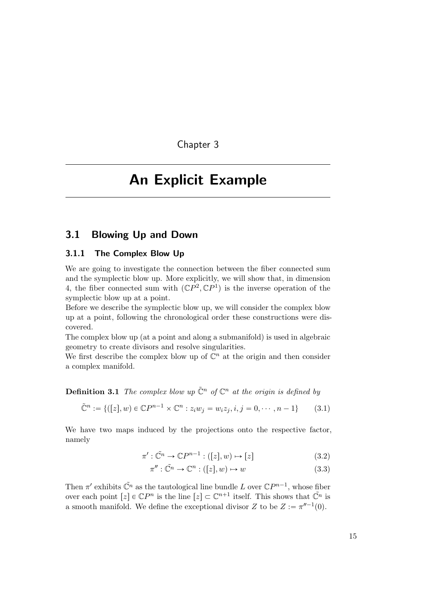Chapter 3

# <span id="page-20-0"></span>An Explicit Example

## <span id="page-20-1"></span>3.1 Blowing Up and Down

#### <span id="page-20-2"></span>3.1.1 The Complex Blow Up

We are going to investigate the connection between the fiber connected sum and the symplectic blow up. More explicitly, we will show that, in dimension 4, the fiber connected sum with  $({\mathbb{C}}P^2,{\mathbb{C}}P^1)$  is the inverse operation of the symplectic blow up at a point.

Before we describe the symplectic blow up, we will consider the complex blow up at a point, following the chronological order these constructions were discovered.

The complex blow up (at a point and along a submanifold) is used in algebraic geometry to create divisors and resolve singularities.

We first describe the complex blow up of  $\mathbb{C}^n$  at the origin and then consider a complex manifold.

**Definition 3.1** The complex blow up  $\tilde{\mathbb{C}}^n$  of  $\mathbb{C}^n$  at the origin is defined by

$$
\tilde{\mathbb{C}}^n := \{ ([z], w) \in \mathbb{C}P^{n-1} \times \mathbb{C}^n : z_i w_j = w_i z_j, i, j = 0, \cdots, n-1 \}
$$
(3.1)

We have two maps induced by the projections onto the respective factor, namely

$$
\pi': \tilde{\mathbb{C}}^n \to \mathbb{C}P^{n-1} : ([z], w) \mapsto [z] \tag{3.2}
$$

$$
\pi'': \tilde{\mathbb{C}}^n \to \mathbb{C}^n : ([z], w) \mapsto w \tag{3.3}
$$

Then  $\pi'$  exhibits  $\tilde{\mathbb{C}}^n$  as the tautological line bundle L over  $\mathbb{C}P^{n-1}$ , whose fiber over each point  $[z] \in \mathbb{C}P^n$  is the line  $[z] \subset \mathbb{C}^{n+1}$  itself. This shows that  $\tilde{\mathbb{C}}^n$  is a smooth manifold. We define the exceptional divisor Z to be  $Z := \pi^{\prime\prime -1}(0)$ .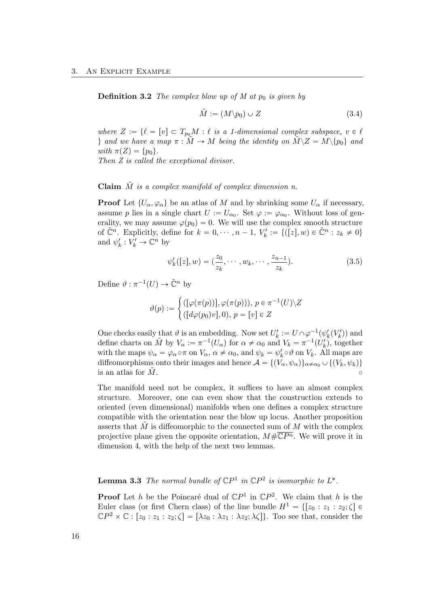**Definition 3.2** The complex blow up of M at  $p_0$  is given by

$$
\tilde{M} := (M \backslash p_0) \cup Z \tag{3.4}
$$

where  $Z := \{ \ell = [v] \subset T_{p_0}M : \ell \text{ is a 1-dimensional complex subspace, } v \in \ell \}$ } and we have a map  $\pi : M \to M$  being the identity on  $\tilde{M} \backslash Z = M \backslash \{p_0\}$  and with  $\pi(Z) = \{p_0\}.$ 

Then Z is called the exceptional divisor.

Claim  $\tilde{M}$  is a complex manifold of complex dimension n.

**Proof** Let  $\{U_{\alpha}, \varphi_{\alpha}\}\)$  be an atlas of M and by shrinking some  $U_{\alpha}$  if necessary, assume p lies in a single chart  $U := U_{\alpha_0}$ . Set  $\varphi := \varphi_{\alpha_0}$ . Without loss of generality, we may assume  $\varphi(p_0) = 0$ . We will use the complex smooth structure of  $\tilde{\mathbb{C}}^n$ . Explicitly, define for  $k = 0, \dots, n-1$ ,  $V'_k := \{([z], w) \in \tilde{\mathbb{C}}^n : z_k \neq 0\}$ and  $\psi'_k : V'_k \to \mathbb{C}^n$  by

$$
\psi'_{k}([z], w) = (\frac{z_0}{z_k}, \cdots, w_k, \cdots, \frac{z_{n-1}}{z_k}).
$$
\n(3.5)

Define  $\vartheta : \pi^{-1}(U) \to \tilde{\mathbb{C}}^n$  by

$$
\vartheta(p) := \begin{cases}\n([\varphi(\pi(p))], \varphi(\pi(p))), \ p \in \pi^{-1}(U) \setminus Z \\
([d\varphi(p_0)v], 0), \ p = [v] \in Z\n\end{cases}
$$

One checks easily that  $\vartheta$  is an embedding. Now set  $U'_k := U \cap \varphi^{-1}(\psi'_k(V'_k))$  and define charts on  $\tilde{M}$  by  $V_{\alpha} := \pi^{-1}(U_{\alpha})$  for  $\alpha \neq \alpha_0$  and  $V_k = \pi^{-1}(U'_k)$ , together with the maps  $\psi_{\alpha} = \varphi_{\alpha} \circ \pi$  on  $V_{\alpha}$ ,  $\alpha \neq \alpha_0$ , and  $\psi_k = \psi'_k \circ \vartheta$  on  $V_k$ . All maps are diffeomorphisms onto their images and hence  $\mathcal{A} = \{ (V_\alpha, \psi_\alpha) \}_{\alpha \neq \alpha_0} \cup \{ (V_k, \psi_k) \}$ is an atlas for  $M$ .

The manifold need not be complex, it suffices to have an almost complex structure. Moreover, one can even show that the construction extends to oriented (even dimensional) manifolds when one defines a complex structure compatible with the orientation near the blow up locus. Another proposition asserts that  $\tilde{M}$  is diffeomorphic to the connected sum of  $M$  with the complex projective plane given the opposite orientation,  $M \# \overline{\mathbb{C}P^n}$ . We will prove it in dimension 4, with the help of the next two lemmas.

**Lemma 3.3** The normal bundle of  $\mathbb{C}P^1$  in  $\mathbb{C}P^2$  is isomorphic to  $L^*$ .

**Proof** Let h be the Poincaré dual of  $\mathbb{C}P^1$  in  $\mathbb{C}P^2$ . We claim that h is the Euler class (or first Chern class) of the line bundle  $H^1 = \{[z_0 : z_1 : z_2; \zeta] \in$  $\mathbb{C}P^2 \times \mathbb{C} : [z_0 : z_1 : z_2; \zeta] = [\lambda z_0 : \lambda z_1 : \lambda z_2; \lambda \zeta]$ . Too see that, consider the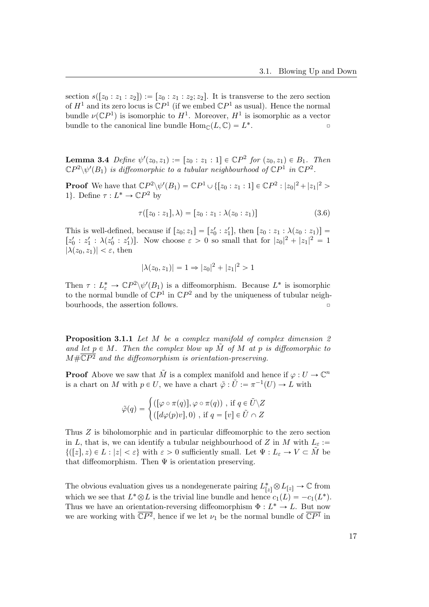section  $s([z_0 : z_1 : z_2]) := [z_0 : z_1 : z_2; z_2]$ . It is transverse to the zero section of  $H^1$  and its zero locus is  $\mathbb{C}P^1$  (if we embed  $\mathbb{C}P^1$  as usual). Hence the normal bundle  $\nu(\mathbb{C}P^1)$  is isomorphic to  $H^1$ . Moreover,  $H^1$  is isomorphic as a vector bundle to the canonical line bundle  $\text{Hom}_{\mathbb{C}}(L, \mathbb{C}) = L^*$  $\overline{\phantom{a}}$ 

**Lemma 3.4** Define  $\psi'(z_0, z_1) := [z_0 : z_1 : 1] \in \mathbb{C}P^2$  for  $(z_0, z_1) \in B_1$ . Then  $\mathbb{C}P^2\backslash\psi'(B_1)$  is diffeomorphic to a tubular neighbourhood of  $\mathbb{C}P^1$  in  $\mathbb{C}P^2$ .

**Proof** We have that  $\mathbb{C}P^2 \setminus \psi'(B_1) = \mathbb{C}P^1 \cup \{[z_0 : z_1 : 1] \in \mathbb{C}P^2 : |z_0|^2 + |z_1|^2 > \}$ 1}. Define  $\tau: L^* \to \mathbb{C}P^2$  by

$$
\tau([z_0:z_1],\lambda) = [z_0:z_1:\lambda(z_0:z_1)]
$$
\n(3.6)

This is well-defined, because if  $[z_0; z_1] = [z'_0 : z'_1]$ , then  $[z_0 : z_1 : \lambda(z_0 : z_1)] =$  $[z'_0 : z'_1 : \lambda(z'_0 : z'_1)].$  Now choose  $\varepsilon > 0$  so small that for  $|z_0|^2 + |z_1|^2 = 1$  $|\lambda(z_0, z_1)| < \varepsilon$ , then

$$
|\lambda(z_0, z_1)| = 1 \Rightarrow |z_0|^2 + |z_1|^2 > 1
$$

Then  $\tau : L^*_{\varepsilon} \to \mathbb{C}P^2 \setminus \psi'(B_1)$  is a diffeomorphism. Because  $L^*$  is isomorphic to the normal bundle of  $\mathbb{C}P^1$  in  $\mathbb{C}P^2$  and by the uniqueness of tubular neigh- $\Box$ bourhoods, the assertion follows.  $\Box$ 

Proposition 3.1.1 Let M be a complex manifold of complex dimension 2 and let  $p \in M$ . Then the complex blow up M of M at p is diffeomorphic to  $M \# \overline{\mathbb{C}P^2}$  and the diffeomorphism is orientation-preserving.

**Proof** Above we saw that  $\tilde{M}$  is a complex manifold and hence if  $\varphi: U \to \mathbb{C}^n$ is a chart on M with  $p \in U$ , we have a chart  $\tilde{\varphi} : \tilde{U} := \pi^{-1}(U) \to L$  with

$$
\tilde{\varphi}(q) = \begin{cases}\n([\varphi \circ \pi(q)], \varphi \circ \pi(q)) , \text{ if } q \in \tilde{U} \setminus Z \\
([d\varphi(p)v], 0) , \text{ if } q = [v] \in \tilde{U} \cap Z\n\end{cases}
$$

Thus Z is biholomorphic and in particular diffeomorphic to the zero section in L, that is, we can identify a tubular neighbourhood of Z in M with  $L_{\varepsilon}$ :=  $\{([z], z) \in L : |z| < \varepsilon\}$  with  $\varepsilon > 0$  sufficiently small. Let  $\Psi : L_{\varepsilon} \to V \subset M$  be that diffeomorphism. Then  $\Psi$  is orientation preserving.

The obvious evaluation gives us a nondegenerate pairing  $L_{[z]}^* \otimes L_{[z]} \to \mathbb{C}$  from which we see that  $L^* \otimes L$  is the trivial line bundle and hence  $c_1(L) = -c_1(L^*)$ . Thus we have an orientation-reversing diffeomorphism  $\Phi: L^* \to L$ . But now we are working with  $\overline{\mathbb{C}P^2}$ , hence if we let  $\nu_1$  be the normal bundle of  $\overline{\mathbb{C}P^1}$  in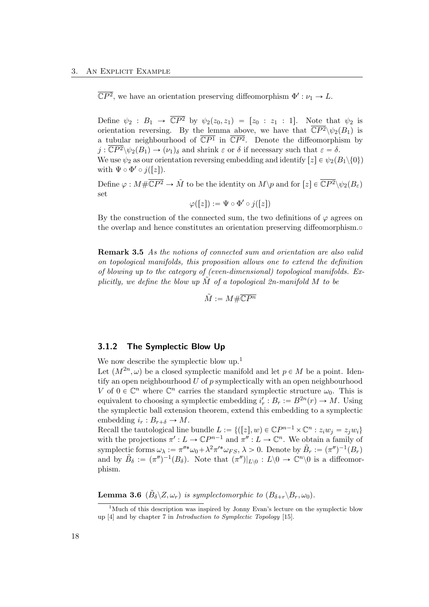$\overline{\mathbb{C}P^2}$ , we have an orientation preserving diffeomorphism  $\Phi': \nu_1 \to L$ .

Define  $\psi_2 : B_1 \to \overline{\mathbb{C}P^2}$  by  $\psi_2(z_0, z_1) = [z_0 : z_1 : 1]$ . Note that  $\psi_2$  is orientation reversing. By the lemma above, we have that  $\overline{\mathbb{C}P^2}\setminus\psi_2(B_1)$  is a tubular neighbourhood of  $\overline{\mathbb{C}P^1}$  in  $\overline{\mathbb{C}P^2}$ . Denote the diffeomorphism by  $j : \overline{\mathbb{C}P^2} \backslash \psi_2(B_1) \to (\nu_1)_{\delta}$  and shrink  $\varepsilon$  or  $\delta$  if necessary such that  $\varepsilon = \delta$ . We use  $\psi_2$  as our orientation reversing embedding and identify  $[z] \in \psi_2(B_1 \setminus \{0\})$ with  $\Psi \circ \Phi' \circ j([z])$ .

Define  $\varphi: M \# \overline{\mathbb{C}P^2} \to \tilde{M}$  to be the identity on  $M \backslash p$  and for  $[z] \in \overline{\mathbb{C}P^2} \backslash \psi_2(B_\varepsilon)$ set

$$
\varphi([z]):=\Psi\circ\Phi'\circ j([z])
$$

By the construction of the connected sum, the two definitions of  $\varphi$  agrees on the overlap and hence constitutes an orientation preserving diffeomorphism. $\Box$ 

Remark 3.5 As the notions of connected sum and orientation are also valid on topological manifolds, this proposition allows one to extend the definition of blowing up to the category of (even-dimensional) topological manifolds. Explicitly, we define the blow up  $\overline{M}$  of a topological 2n-manifold  $\overline{M}$  to be

 $\tilde{M} := M \# \overline{\mathbb{C}P^n}$ 

#### <span id="page-23-0"></span>3.1.2 The Symplectic Blow Up

We now describe the symplectic blow up.<sup>[1](#page-23-1)</sup>

Let  $(M^{2n}, \omega)$  be a closed symplectic manifold and let  $p \in M$  be a point. Identify an open neighbourhood  $U$  of  $p$  symplectically with an open neighbourhood V of  $0 \in \mathbb{C}^n$  where  $\mathbb{C}^n$  carries the standard symplectic structure  $\omega_0$ . This is equivalent to choosing a symplectic embedding  $i'_r : B_r := B^{2n}(r) \to M$ . Using the symplectic ball extension theorem, extend this embedding to a symplectic embedding  $i_r : B_{r+\delta} \to M$ .

Recall the tautological line bundle  $L := \{([z], w) \in \mathbb{C}P^{n-1} \times \mathbb{C}^n : z_iw_j = z_jw_i\}$ with the projections  $\pi': L \to \mathbb{C}P^{n-1}$  and  $\pi'': L \to \mathbb{C}^n$ . We obtain a family of symplectic forms  $\omega_{\lambda} := \pi''^* \omega_0 + \lambda^2 \pi'^* \omega_{FS}, \lambda > 0$ . Denote by  $\tilde{B}_r := (\pi'')^{-1}(B_r)$ and by  $\tilde{B}_\delta := (\pi'')^{-1}(B_\delta)$ . Note that  $(\pi'')|_{L\setminus 0} : L\setminus 0 \to \mathbb{C}^n\setminus 0$  is a diffeomorphism.

**Lemma 3.6**  $(\tilde{B}_{\delta} \backslash Z, \omega_r)$  is symplectomorphic to  $(B_{\delta+r} \backslash B_r, \omega_0)$ .

<span id="page-23-1"></span> $1$ Much of this description was inspired by Jonny Evan's lecture on the symplectic blow up [\[4\]](#page-52-7) and by chapter 7 in Introduction to Symplectic Topology [\[15\]](#page-53-1).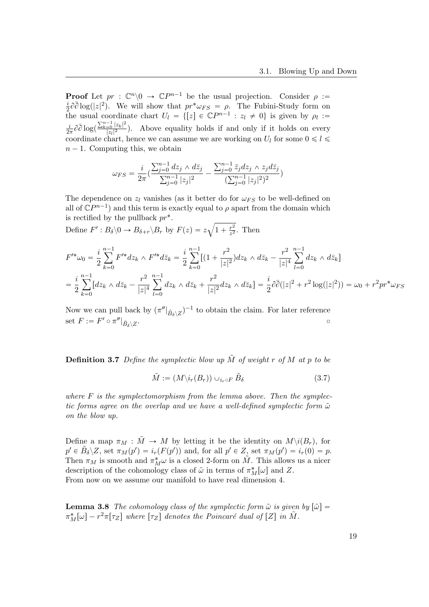**Proof** Let  $pr : \mathbb{C}^n \setminus 0 \to \mathbb{C}P^{n-1}$  be the usual projection. Consider  $\rho :=$  $\frac{i}{2}\partial\bar{\partial}\log(|z|^2)$ . We will show that  $pr^*\omega_{FS} = \rho$ . The Fubini-Study form on  $\frac{1}{2}$  to  $\log(|z|)$ . We will show that  $p_1 \omega_F s - p$ . The Fubili-Study form on<br>the usual coordinate chart  $U_l = \{[z] \in \mathbb{C}P^{n-1} : z_l \neq 0\}$  is given by  $\rho_l :=$ i  $\frac{i}{2\pi}\partial\bar{\partial}\log(\theta)$  $\sum_{k=0}^{n-1} |z_k|^2$  $\frac{1}{|z_l|^2}$ ). Above equality holds if and only if it holds on every coordinate chart, hence we can assume we are working on  $U_l$  for some  $0 \leq l \leq$  $n - 1$ . Computing this, we obtain

$$
\omega_{FS} = \frac{i}{2\pi} \Big( \frac{\sum_{j=0}^{n-1} dz_j \wedge d\bar{z}_j}{\sum_{j=0}^{n-1} |z_j|^2} - \frac{\sum_{j=0}^{n-1} \bar{z}_j dz_j \wedge z_j d\bar{z}_j}{(\sum_{j=0}^{n-1} |z_j|^2)^2} \Big)
$$

The dependence on  $z_l$  vanishes (as it better do for  $\omega_{FS}$  to be well-defined on all of  $\mathbb{C}P^{n-1}$  and this term is exactly equal to  $\rho$  apart from the domain which is rectified by the pullback  $pr^*$ .

Define  $F' : B_\delta \backslash 0 \to B_{\delta+r} \backslash B_r$  by  $F(z) = z$  $1 + \frac{r^2}{z^2}$  $rac{r^2}{z^2}$ . Then

$$
F'^* \omega_0 = \frac{i}{2} \sum_{k=0}^{n-1} F'^* dz_k \wedge F'^* d\bar{z}_k = \frac{i}{2} \sum_{k=0}^{n-1} [(1 + \frac{r^2}{|z|^2}) dz_k \wedge d\bar{z}_k - \frac{r^2}{|z|^4} \sum_{l=0}^{n-1} dz_k \wedge d\bar{z}_k]
$$
  
= 
$$
\frac{i}{2} \sum_{k=0}^{n-1} [dz_k \wedge d\bar{z}_k - \frac{r^2}{|z|^4} \sum_{l=0}^{n-1} dz_k \wedge d\bar{z}_k + \frac{r^2}{|z|^2} dz_k \wedge d\bar{z}_k] = \frac{i}{2} \partial \bar{\partial} (|z|^2 + r^2 \log(|z|^2)) = \omega_0 + r^2 pr^* \omega_{FS}
$$

Now we can pull back by  $(\pi''|_{\tilde{B}_\delta \setminus Z})^{-1}$  to obtain the claim. For later reference set  $F := F' \circ \pi''|_{\tilde{B}_\delta \setminus Z}$ . ˝

**Definition 3.7** Define the symplectic blow up  $\tilde{M}$  of weight r of M at p to be

$$
\tilde{M} := (M \backslash i_r(B_r)) \cup_{i_r \circ F} \tilde{B}_{\delta} \tag{3.7}
$$

where  $F$  is the symplectomorphism from the lemma above. Then the symplectic forms agree on the overlap and we have a well-defined symplectic form  $\tilde{\omega}$ on the blow up.

Define a map  $\pi_M : \tilde{M} \to M$  by letting it be the identity on  $M \setminus i(B_r)$ , for  $p' \in \tilde{B}_{\delta} \backslash Z$ , set  $\pi_M(p') = i_r(F(p'))$  and, for all  $p' \in Z$ , set  $\pi_M(p') = i_r(0) = p$ . Then  $\pi_M$  is smooth and  $\pi_M^*\omega$  is a closed 2-form on  $\tilde{M}$ . This allows us a nicer description of the cohomology class of  $\tilde{\omega}$  in terms of  $\pi_M^*[\omega]$  and Z. From now on we assume our manifold to have real dimension 4.

**Lemma 3.8** The cohomology class of the symplectic form  $\tilde{\omega}$  is given by  $|\tilde{\omega}| =$  $\pi_M^*[\omega] - r^2 \pi[\tau_Z]$  where  $[\tau_Z]$  denotes the Poincaré dual of  $[Z]$  in  $\tilde{M}$ .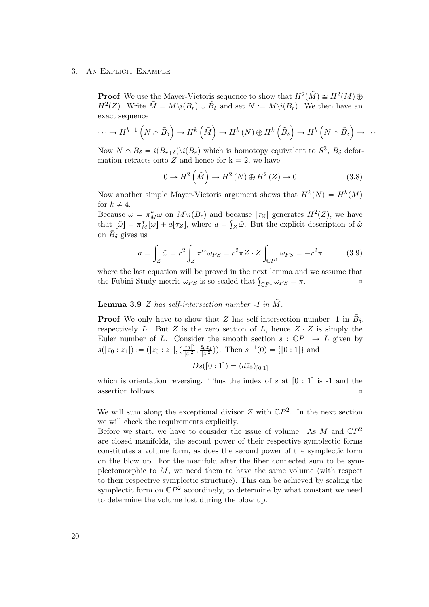**Proof** We use the Mayer-Vietoris sequence to show that  $H^2(\tilde{M}) \cong H^2(M) \oplus$  $H^2(Z)$ . Write  $\tilde{M} = M \setminus i(B_r) \cup \tilde{B}_\delta$  and set  $N := M \setminus i(B_r)$ . We then have an exact sequence

$$
\cdots \to H^{k-1}\left(N \cap \tilde{B}_{\delta}\right) \to H^{k}\left(\tilde{M}\right) \to H^{k}\left(N\right) \oplus H^{k}\left(\tilde{B}_{\delta}\right) \to H^{k}\left(N \cap \tilde{B}_{\delta}\right) \to \cdots
$$

Now  $N \cap \tilde{B}_\delta = i(B_{r+\delta}) \setminus i(B_r)$  which is homotopy equivalent to  $S^3$ ,  $\tilde{B}_\delta$  deformation retracts onto Z and hence for  $k = 2$ , we have ´ ¯

$$
0 \to H^2\left(\tilde{M}\right) \to H^2\left(N\right) \oplus H^2\left(Z\right) \to 0\tag{3.8}
$$

Now another simple Mayer-Vietoris argument shows that  $H^k(N) = H^k(M)$ for  $k \neq 4$ .

Because  $\tilde{\omega} = \pi_M^* \omega$  on  $M \setminus i(B_r)$  and because  $[\tau_Z]$  generates  $H^2(Z)$ , we have that  $[\tilde{\omega}] = \pi_M^*[\omega] + a[\tau_Z]$ , where  $a = \int_Z \tilde{\omega}$ . But the explicit description of  $\tilde{\omega}$ on  $\tilde{B}_\delta$  gives us

$$
a = \int_{Z} \tilde{\omega} = r^2 \int_{Z} \pi'^* \omega_{FS} = r^2 \pi Z \cdot Z \int_{\mathbb{C}P^1} \omega_{FS} = -r^2 \pi \tag{3.9}
$$

where the last equation will be proved in the next lemma and we assume that where the last equation will be proved in the next lemma and we assume that the Fubini Study metric  $\omega_{FS}$  is so scaled that  $\int_{\mathbb{C}P^1} \omega_{FS} = \pi$ .

#### **Lemma 3.9** Z has self-intersection number -1 in  $\tilde{M}$ .

**Proof** We only have to show that Z has self-intersection number -1 in  $\tilde{B}_{\delta}$ , respectively L. But Z is the zero section of L, hence  $Z \cdot Z$  is simply the Euler number of L. Consider the smooth section  $s : \mathbb{C}P^1 \to L$  given by  $s([z_0:z_1]):=([z_0:z_1],(\frac{|z_0|^2}{|z|^2})$  $rac{z_0|^2}{|z|^2}, \frac{\bar{z}_0z_1}{|z|^2}$  $(\frac{\bar{z}_0 z_1}{|z|^2})$ ). Then  $s^{-1}(0) = \{ [0:1] \}$  and

$$
Ds([0:1]) = (d\bar{z}_0)_{[0:1]}
$$

which is orientation reversing. Thus the index of s at  $\lceil 0 : 1 \rceil$  is -1 and the  $\Box$  assertion follows.

We will sum along the exceptional divisor  $Z$  with  $\mathbb{C}P^2$ . In the next section we will check the requirements explicitly.

Before we start, we have to consider the issue of volume. As M and  $\mathbb{C}P^2$ are closed manifolds, the second power of their respective symplectic forms constitutes a volume form, as does the second power of the symplectic form on the blow up. For the manifold after the fiber connected sum to be symplectomorphic to  $M$ , we need them to have the same volume (with respect to their respective symplectic structure). This can be achieved by scaling the symplectic form on  $\mathbb{C}P^2$  accordingly, to determine by what constant we need to determine the volume lost during the blow up.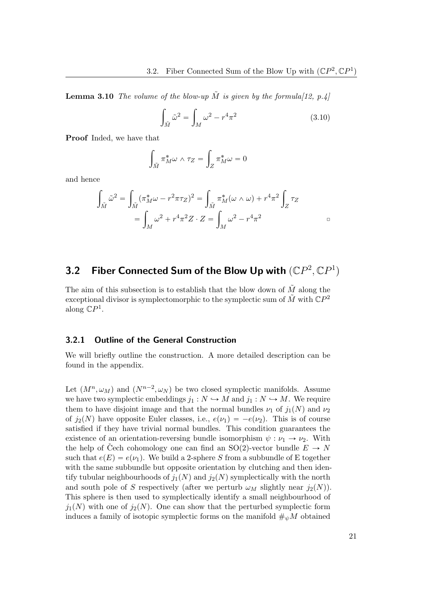**Lemma 3.10** The volume of the blow-up  $\tilde{M}$  is given by the formula [\[12,](#page-53-5) p.4]

$$
\int_{\tilde{M}} \tilde{\omega}^2 = \int_M \omega^2 - r^4 \pi^2 \tag{3.10}
$$

Proof Inded, we have that

$$
\int_{\tilde{M}} \pi_M^* \omega \wedge \tau_Z = \int_Z \pi_M^* \omega = 0
$$

and hence

$$
\int_{\tilde{M}} \tilde{\omega}^2 = \int_{\tilde{M}} (\pi_M^* \omega - r^2 \pi \tau_Z)^2 = \int_{\tilde{M}} \pi_M^* (\omega \wedge \omega) + r^4 \pi^2 \int_Z \tau_Z
$$

$$
= \int_M \omega^2 + r^4 \pi^2 Z \cdot Z = \int_M \omega^2 - r^4 \pi^2
$$

## <span id="page-26-0"></span>3.2 Fiber Connected Sum of the Blow Up with  $({\mathbb{C}}P^2,{\mathbb{C}}P^1)$

The aim of this subsection is to establish that the blow down of  $\tilde{M}$  along the exceptional divisor is symplectomorphic to the symplectic sum of  $\tilde{M}$  with  $\mathbb{C}P^2$ along  $\mathbb{C}P^1$ .

#### <span id="page-26-1"></span>3.2.1 Outline of the General Construction

We will briefly outline the construction. A more detailed description can be found in the appendix.

Let  $(M^n, \omega_M)$  and  $(N^{n-2}, \omega_N)$  be two closed symplectic manifolds. Assume we have two symplectic embeddings  $j_1 : N \hookrightarrow M$  and  $j_1 : N \hookrightarrow M$ . We require them to have disjoint image and that the normal bundles  $\nu_1$  of  $j_1(N)$  and  $\nu_2$ of  $j_2(N)$  have opposite Euler classes, i.e.,  $e(\nu_1) = -e(\nu_2)$ . This is of course satisfied if they have trivial normal bundles. This condition guarantees the existence of an orientation-reversing bundle isomorphism  $\psi : \nu_1 \to \nu_2$ . With the help of Čech cohomology one can find an SO(2)-vector bundle  $E \to N$ such that  $e(E) = e(\nu_1)$ . We build a 2-sphere S from a subbundle of E together with the same subbundle but opposite orientation by clutching and then identify tubular neighbourhoods of  $j_1(N)$  and  $j_2(N)$  symplectically with the north and south pole of S respectively (after we perturb  $\omega_M$  slightly near  $j_2(N)$ ). This sphere is then used to symplectically identify a small neighbourhood of  $j_1(N)$  with one of  $j_2(N)$ . One can show that the perturbed symplectic form induces a family of isotopic symplectic forms on the manifold  $\#_{\psi}M$  obtained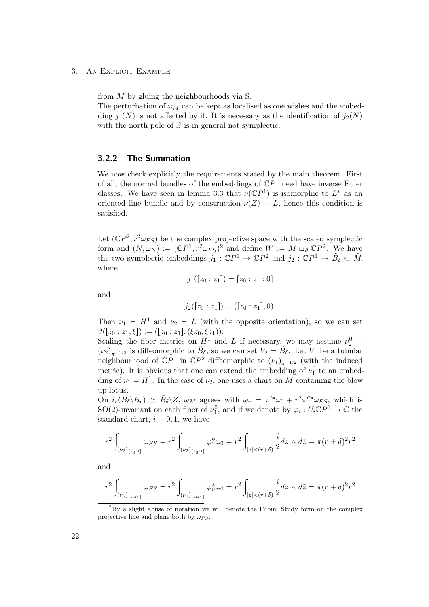from M by gluing the neighbourhoods via S.

The perturbation of  $\omega_M$  can be kept as localised as one wishes and the embedding  $j_1(N)$  is not affected by it. It is necessary as the identification of  $j_2(N)$ with the north pole of  $S$  is in general not symplectic.

#### <span id="page-27-0"></span>3.2.2 The Summation

We now check explicitly the requirements stated by the main theorem. First of all, the normal bundles of the embeddings of  $\mathbb{C}P<sup>1</sup>$  need have inverse Euler classes. We have seen in lemma 3.3 that  $\nu(\mathbb{C}P^1)$  is isomorphic to  $L^*$  as an oriented line bundle and by construction  $\nu(Z) = L$ , hence this condition is satisfied.

Let  $(\mathbb{C}P^2, r^2\omega_{FS})$  be the complex projective space with the scaled symplectic form and  $(N, \omega_N) := (\mathbb{C}P^1, r^2\omega_{FS})^2$  $(N, \omega_N) := (\mathbb{C}P^1, r^2\omega_{FS})^2$  $(N, \omega_N) := (\mathbb{C}P^1, r^2\omega_{FS})^2$  and define  $W := \tilde{M} \sqcup_{\vartheta} \mathbb{C}P^2$ . We have the two symplectic embeddings  $j_1 : \mathbb{C}P^1 \to \mathbb{C}P^2$  and  $j_2 : \mathbb{C}P^1 \to \tilde{B}_\delta \subset \tilde{M}$ , where

$$
j_1([z_0:z_1]) = [z_0:z_1:0]
$$

and

$$
j_2([z_0:z_1]) = ([z_0:z_1],0).
$$

Then  $\nu_1 = H^1$  and  $\nu_2 = L$  (with the opposite orientation), so we can set  $\vartheta([z_0 : z_1; \xi]) := ([z_0 : z_1], (\xi z_0, \xi z_1)).$ 

Scaling the fiber metrics on  $H^1$  and L if necessary, we may assume  $\nu_2^0$  =  $(\nu_2)_{\pi^{-1/2}}$  is diffeomorphic to  $\tilde{B}_\delta$ , so we can set  $V_2 = \tilde{B}_\delta$ . Let  $V_1$  be a tubular neighbourhood of  $\mathbb{C}P^1$  in  $\mathbb{C}P^2$  diffeomorphic to  $(\nu_1)_{\pi^{-1/2}}$  (with the induced metric). It is obvious that one can extend the embedding of  $\nu_1^0$  to an embedding of  $\nu_1 = H^1$ . In the case of  $\nu_2$ , one uses a chart on  $\tilde{M}$  containing the blow up locus.

On  $i_r(B_\delta \backslash B_r) \cong \tilde{B}_\delta \backslash Z$ ,  $\omega_M$  agrees with  $\omega_r = \pi'^* \omega_0 + r^2 \pi''^* \omega_{FS}$ , which is SO(2)-invariant on each fiber of  $\nu_1^0$ , and if we denote by  $\varphi_i: U_i \mathbb{C}P^1 \to \mathbb{C}$  the standard chart,  $i = 0, 1$ , we have

$$
r^{2} \int_{(\nu_{2})_{[z_{0}:1]}} \omega_{FS} = r^{2} \int_{(\nu_{2})_{[z_{0}:1]}} \varphi_{1}^{*} \omega_{0} = r^{2} \int_{|z| < (r+\delta)} \frac{i}{2} dz \wedge d\bar{z} = \pi (r+\delta)^{2} r^{2}
$$

and

$$
r^{2} \int_{(\nu_{2})_{[1:z_{1}]}} \omega_{FS} = r^{2} \int_{(\nu_{2})_{[1:z_{1}]}} \varphi_{0}^{*} \omega_{0} = r^{2} \int_{|z| < (r+\delta)} \frac{i}{2} dz \wedge d\overline{z} = \pi (r+\delta)^{2} r^{2}
$$

<span id="page-27-1"></span><sup>2</sup>By a slight abuse of notation we will denote the Fubini Study form on the complex projective line and plane both by  $\omega_{FS}$ .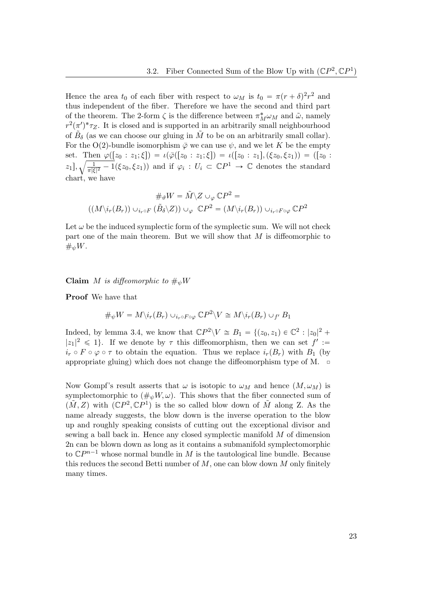Hence the area  $t_0$  of each fiber with respect to  $\omega_M$  is  $t_0 = \pi (r + \delta)^2 r^2$  and thus independent of the fiber. Therefore we have the second and third part of the theorem. The 2-form  $\zeta$  is the difference between  $\pi_M^* \omega_M$  and  $\tilde{\omega}$ , namely  $r^2(\pi')^* \tau_Z$ . It is closed and is supported in an arbitrarily small neighbourhood of  $\tilde{B}_\delta$  (as we can choose our gluing in  $\tilde{M}$  to be on an arbitrarily small collar). For the O(2)-bundle isomorphism  $\bar{\varphi}$  we can use  $\psi$ , and we let K be the empty set. Then  $\varphi([z_0 : z_1; \xi]) = \iota(\bar{\varphi}([z_0 : z_1; \xi]) = \iota([z_0 : z_1], (\xi z_0, \xi z_1)) = ([z_0 : z_1, \xi])$  $[z_1], \sqrt{\frac{1}{\pi|\xi}}$  $\frac{1}{\pi |\xi|^2} - 1(\xi z_0, \xi z_1)$  and if  $\varphi_i : U_i \subset \mathbb{C}P^1 \to \mathbb{C}$  denotes the standard chart, we have

$$
\#_{\vartheta} W = \tilde{M} \setminus Z \cup_{\varphi} \mathbb{C}P^2 =
$$

$$
((M \setminus i_r(B_r)) \cup_{i_r \circ F} (\tilde{B}_{\delta} \setminus Z)) \cup_{\varphi} \mathbb{C}P^2 = (M \setminus i_r(B_r)) \cup_{i_r \circ F \circ \varphi} \mathbb{C}P^2
$$

Let  $\omega$  be the induced symplectic form of the symplectic sum. We will not check part one of the main theorem. But we will show that M is diffeomorphic to  $\#_{\psi}W.$ 

Claim M is diffeomorphic to  $\#_w W$ 

Proof We have that

$$
\#_{\psi} W = M \backslash i_r(B_r) \cup_{i_r \circ F \circ \varphi} \mathbb{C}P^2 \backslash V \cong M \backslash i_r(B_r) \cup_{f'} B_1
$$

Indeed, by lemma 3.4, we know that  $\mathbb{C}P^2 \backslash V \cong B_1 = \{(z_0, z_1) \in \mathbb{C}^2 : |z_0|^2 +$  $|z_1|^2 \leq 1$ . If we denote by  $\tau$  this diffeomorphism, then we can set  $f' :=$  $i_r \circ F \circ \varphi \circ \tau$  to obtain the equation. Thus we replace  $i_r(B_r)$  with  $B_1$  (by appropriate gluing) which does not change the diffeomorphism type of M.  $\Box$ 

Now Gompf's result asserts that  $\omega$  is isotopic to  $\omega_M$  and hence  $(M, \omega_M)$  is symplectomorphic to  $(\#_{\psi}W, \omega)$ . This shows that the fiber connected sum of  $(\tilde{M}, Z)$  with  $(\mathbb{C}P^2, \mathbb{C}P^1)$  is the so called blow down of  $\tilde{M}$  along Z. As the name already suggests, the blow down is the inverse operation to the blow up and roughly speaking consists of cutting out the exceptional divisor and sewing a ball back in. Hence any closed symplectic manifold M of dimension 2n can be blown down as long as it contains a submanifold symplectomorphic to  $\mathbb{C}P^{n-1}$  whose normal bundle in M is the tautological line bundle. Because this reduces the second Betti number of  $M$ , one can blow down  $M$  only finitely many times.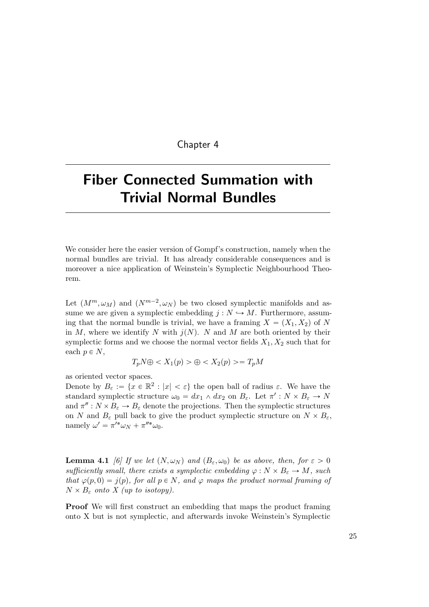#### Chapter 4

# <span id="page-30-0"></span>Fiber Connected Summation with Trivial Normal Bundles

We consider here the easier version of Gompf's construction, namely when the normal bundles are trivial. It has already considerable consequences and is moreover a nice application of Weinstein's Symplectic Neighbourhood Theorem.

Let  $(M^m, \omega_M)$  and  $(N^{m-2}, \omega_N)$  be two closed symplectic manifolds and assume we are given a symplectic embedding  $j: N \hookrightarrow M$ . Furthermore, assuming that the normal bundle is trivial, we have a framing  $X = (X_1, X_2)$  of N in M, where we identify N with  $j(N)$ . N and M are both oriented by their symplectic forms and we choose the normal vector fields  $X_1, X_2$  such that for each  $p \in N$ ,

$$
T_p N \oplus \langle X_1(p) \rangle \oplus \langle X_2(p) \rangle = T_p M
$$

as oriented vector spaces.

Denote by  $B_{\varepsilon} := \{x \in \mathbb{R}^2 : |x| < \varepsilon\}$  the open ball of radius  $\varepsilon$ . We have the standard symplectic structure  $\omega_0 = dx_1 \wedge dx_2$  on  $B_{\varepsilon}$ . Let  $\pi' : N \times B_{\varepsilon} \to N$ and  $\pi'' : N \times B_{\varepsilon} \to B_{\varepsilon}$  denote the projections. Then the symplectic structures on N and  $B_{\varepsilon}$  pull back to give the product symplectic structure on  $N \times B_{\varepsilon}$ , namely  $\omega' = \pi'^* \omega_N + \pi''^* \omega_0$ .

**Lemma 4.1** [\[6\]](#page-52-8) If we let  $(N, \omega_N)$  and  $(B_\varepsilon, \omega_0)$  be as above, then, for  $\varepsilon > 0$ sufficiently small, there exists a symplectic embedding  $\varphi : N \times B_{\varepsilon} \to M$ , such that  $\varphi(p, 0) = j(p)$ , for all  $p \in N$ , and  $\varphi$  maps the product normal framing of  $N \times B_{\varepsilon}$  onto X (up to isotopy).

Proof We will first construct an embedding that maps the product framing onto X but is not symplectic, and afterwards invoke Weinstein's Symplectic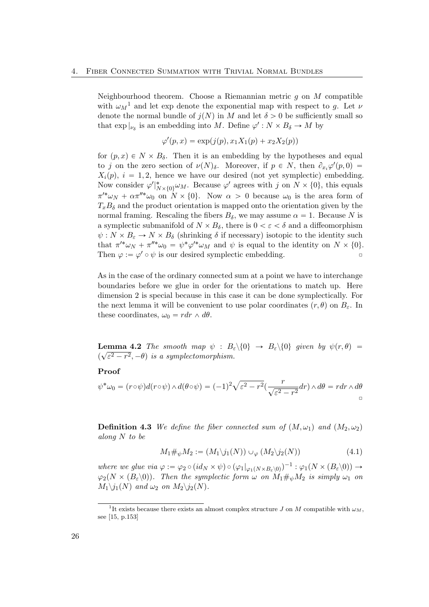Neighbourhood theorem. Choose a Riemannian metric  $q$  on  $M$  compatible with  $\omega_M^{-1}$  $\omega_M^{-1}$  $\omega_M^{-1}$  and let exp denote the exponential map with respect to g. Let  $\nu$ denote the normal bundle of  $j(N)$  in M and let  $\delta > 0$  be sufficiently small so that  $\exp |_{\nu_{\delta}}$  is an embedding into M. Define  $\varphi' : N \times B_{\delta} \to M$  by

$$
\varphi'(p, x) = \exp(j(p), x_1 X_1(p) + x_2 X_2(p))
$$

for  $(p, x) \in N \times B_\delta$ . Then it is an embedding by the hypotheses and equal to j on the zero section of  $\nu(N)_{\delta}$ . Moreover, if  $p \in N$ , then  $\partial_{x_i}\varphi'(p,0) =$  $X_i(p), i = 1, 2$ , hence we have our desired (not yet symplectic) embedding. Now consider  $\varphi'|_{N\times\{0\}}^*\omega_M$ . Because  $\varphi'$  agrees with j on  $N\times\{0\}$ , this equals  $\pi'^* \omega_N + \alpha \pi''^* \omega_0$  on  $N \times \{0\}$ . Now  $\alpha > 0$  because  $\omega_0$  is the area form of  $T_xB_\delta$  and the product orientation is mapped onto the orientation given by the normal framing. Rescaling the fibers  $B_{\delta}$ , we may assume  $\alpha = 1$ . Because N is a symplectic submanifold of  $N \times B_{\delta}$ , there is  $0 < \varepsilon < \delta$  and a diffeomorphism  $\psi: N \times B_{\varepsilon} \to N \times B_{\delta}$  (shrinking  $\delta$  if necessary) isotopic to the identity such that  $\pi'^* \omega_N + \pi''^* \omega_0 = \psi^* \varphi'^* \omega_M$  and  $\psi$  is equal to the identity on  $N \times \{0\}.$ Then  $\varphi := \varphi' \circ \psi$  is our desired symplectic embedding.

As in the case of the ordinary connected sum at a point we have to interchange boundaries before we glue in order for the orientations to match up. Here dimension 2 is special because in this case it can be done symplectically. For the next lemma it will be convenient to use polar coordinates  $(r, \theta)$  on  $B_{\varepsilon}$ . In these coordinates,  $\omega_0 = r dr \wedge d\theta$ .

**Lemma 4.2** The smooth map  $\psi : B_{\varepsilon} \setminus \{0\} \to B_{\varepsilon} \setminus \{0\}$  given by  $\psi(r, \theta) =$  $(\sqrt{\varepsilon^2-r^2}, -\theta)$  is a symplectomorphism.

Proof

$$
\psi^* \omega_0 = (r \circ \psi) d(r \circ \psi) \wedge d(\theta \circ \psi) = (-1)^2 \sqrt{\varepsilon^2 - r^2} \left( \frac{r}{\sqrt{\varepsilon^2 - r^2}} dr \right) \wedge d\theta = r dr \wedge d\theta
$$

**Definition 4.3** We define the fiber connected sum of  $(M, \omega_1)$  and  $(M_2, \omega_2)$ along N to be

$$
M_1 \#_{\psi} M_2 := (M_1 \backslash j_1(N)) \cup_{\varphi} (M_2 \backslash j_2(N)) \tag{4.1}
$$

where we glue via  $\varphi := \varphi_2 \circ (id_N \times \psi) \circ (\varphi_1|_{\varphi_1(N \times B_{\varepsilon} \setminus 0)})^{-1} : \varphi_1(N \times (B_{\varepsilon} \setminus 0)) \to$  $\varphi_2(N \times (B_\varepsilon \setminus 0)).$  Then the symplectic form  $\omega$  on  $M_1 \#_{\psi} M_2$  is simply  $\omega_1$  on  $M_1\backslash j_1(N)$  and  $\omega_2$  on  $M_2\backslash j_2(N)$ .

<span id="page-31-0"></span><sup>&</sup>lt;sup>1</sup>It exists because there exists an almost complex structure J on M compatible with  $\omega_M$ , see [\[15,](#page-53-1) p.153]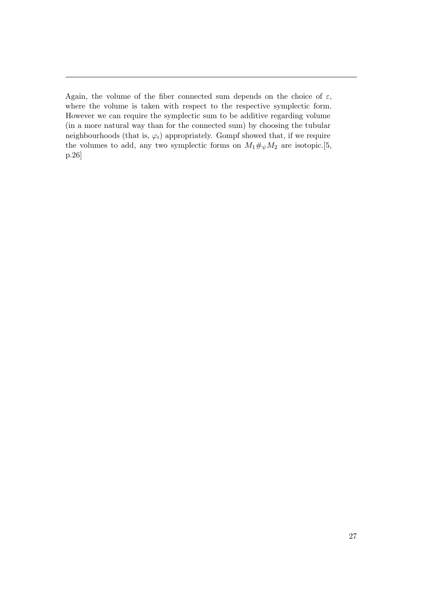Again, the volume of the fiber connected sum depends on the choice of  $\varepsilon$ , where the volume is taken with respect to the respective symplectic form. However we can require the symplectic sum to be additive regarding volume (in a more natural way than for the connected sum) by choosing the tubular neighbourhoods (that is,  $\varphi_i$ ) appropriately. Gompf showed that, if we require the volumes to add, any two symplectic forms on  $M_1\#_{\psi}M_2$  are isotopic.[\[5,](#page-52-2) p.26]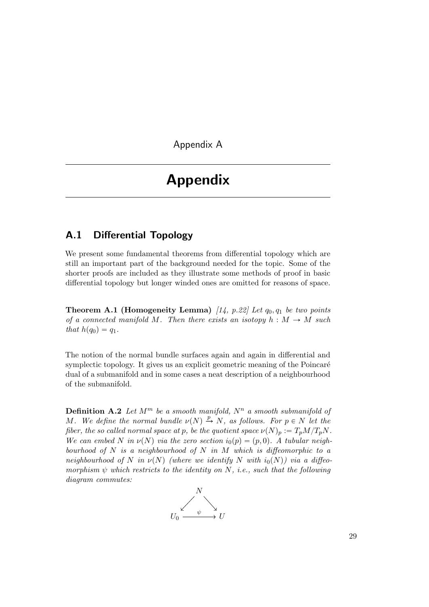<span id="page-34-0"></span>Appendix A

# Appendix

## <span id="page-34-1"></span>A.1 Differential Topology

We present some fundamental theorems from differential topology which are still an important part of the background needed for the topic. Some of the shorter proofs are included as they illustrate some methods of proof in basic differential topology but longer winded ones are omitted for reasons of space.

**Theorem A.1 (Homogeneity Lemma)** [\[14,](#page-53-6) p.22] Let  $q_0, q_1$  be two points of a connected manifold M. Then there exists an isotopy  $h : M \to M$  such that  $h(q_0) = q_1$ .

The notion of the normal bundle surfaces again and again in differential and symplectic topology. It gives us an explicit geometric meaning of the Poincaré dual of a submanifold and in some cases a neat description of a neighbourhood of the submanifold.

**Definition A.2** Let  $M^m$  be a smooth manifold,  $N^n$  a smooth submanifold of M. We define the normal bundle  $\nu(N) \stackrel{p}{\rightarrow} N$ , as follows. For  $p \in N$  let the fiber, the so called normal space at p, be the quotient space  $\nu(N)_p := T_pM/T_pN$ . We can embed N in  $\nu(N)$  via the zero section  $i_0(p) = (p, 0)$ . A tubular neighbourhood of  $N$  is a neighbourhood of  $N$  in  $M$  which is diffeomorphic to a neighbourhood of N in  $\nu(N)$  (where we identify N with  $i_0(N)$ ) via a diffeomorphism  $\psi$  which restricts to the identity on N, i.e., such that the following diagram commutes:

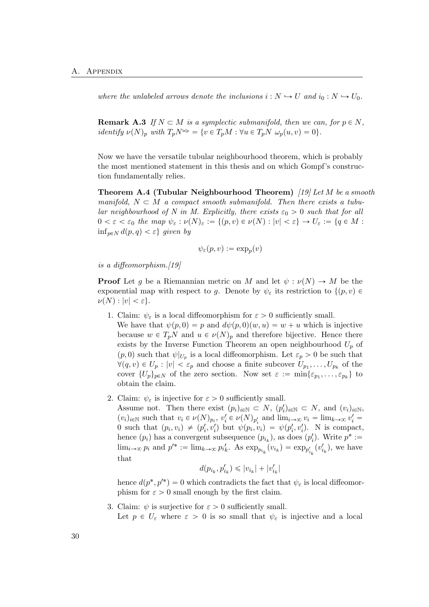where the unlabeled arrows denote the inclusions  $i : N \hookrightarrow U$  and  $i_0 : N \hookrightarrow U_0$ .

**Remark A.3** If  $N \subset M$  is a symplectic submanifold, then we can, for  $p \in N$ , identify  $\nu(N)_p$  with  $T_pN^{\omega_p} = \{v \in T_pM : \forall u \in T_pN \omega_p(u, v) = 0\}.$ 

Now we have the versatile tubular neighbourhood theorem, which is probably the most mentioned statement in this thesis and on which Gompf's construction fundamentally relies.

Theorem A.4 (Tubular Neighbourhood Theorem)  $[19]$  Let M be a smooth manifold,  $N \subset M$  a compact smooth submanifold. Then there exists a tubular neighbourhood of N in M. Explicitly, there exists  $\varepsilon_0 > 0$  such that for all  $0 < \varepsilon < \varepsilon_0$  the map  $\psi_{\varepsilon} : \nu(N)_{\varepsilon} := \{(p, v) \in \nu(N) : |v| < \varepsilon\} \to U_{\varepsilon} := \{q \in M :$  $\inf_{p\in N} d(p,q) < \varepsilon$ } given by

$$
\psi_\varepsilon(p,v):=\exp_p(v)
$$

is a diffeomorphism.[\[19\]](#page-53-7)

**Proof** Let g be a Riemannian metric on M and let  $\psi : \nu(N) \to M$  be the exponential map with respect to g. Denote by  $\psi_{\varepsilon}$  its restriction to  $\{(p, v) \in$  $\nu(N): |v| < \varepsilon$ .

- 1. Claim:  $\psi_{\varepsilon}$  is a local diffeomorphism for  $\varepsilon > 0$  sufficiently small. We have that  $\psi(p, 0) = p$  and  $d\psi(p, 0)(w, u) = w + u$  which is injective because  $w \in T_pN$  and  $u \in \nu(N)_p$  and therefore bijective. Hence there exists by the Inverse Function Theorem an open neighbourhood  $U_p$  of  $(p,0)$  such that  $\psi|_{U_p}$  is a local diffeomorphism. Let  $\varepsilon_p > 0$  be such that  $\forall (q, v) \in U_p : |v| < \varepsilon_p$  and choose a finite subcover  $U_{p_1}, \ldots, U_{p_k}$  of the cover  $\{U_p\}_{p\in\mathbb{N}}$  of the zero section. Now set  $\varepsilon := \min\{\varepsilon_{p_1}, \ldots, \varepsilon_{p_k}\}\)$  to obtain the claim.
- 2. Claim:  $\psi_{\varepsilon}$  is injective for  $\varepsilon > 0$  sufficiently small.

Assume not. Then there exist  $(p_i)_{i\in\mathbb{N}} \subset N$ ,  $(p'_i)_{i\in\mathbb{N}} \subset N$ , and  $(v_i)_{i\in\mathbb{N}}$ ,  $(v_i)_{i \in \mathbb{N}}$  such that  $v_i \in \nu(N)_{p_i}, v'_i \in \nu(N)_{p'_i}$  and  $\lim_{i \to \infty} v_i = \lim_{k \to \infty} v'_i =$ 0 such that  $(p_i, v_i) \neq (p'_i, v'_i)$  but  $\psi(p_i, v_i) = \psi(p'_i, v'_i)$ . N is compact, hence  $(p_i)$  has a convergent subsequence  $(p_{i_k})$ , as does  $(p'_i)$ . Write  $p^* :=$  $\lim_{i\to\infty} p_i$  and  $p'^* := \lim_{k\to\infty} p'_{i_k}$ . As  $\exp_{p_{i_k}}(v_{i_k}) = \exp_{p'_{i_k}}(v'_{i_k})$ , we have that

$$
d(p_{i_k},p'_{i_k})\leqslant |v_{i_k}|+|v'_{i_k}|
$$

hence  $d(p^*, p'^*) = 0$  which contradicts the fact that  $\psi_{\varepsilon}$  is local diffeomorphism for  $\varepsilon > 0$  small enough by the first claim.

3. Claim:  $\psi$  is surjective for  $\varepsilon > 0$  sufficiently small. Let  $p \in U_{\varepsilon}$  where  $\varepsilon > 0$  is so small that  $\psi_{\varepsilon}$  is injective and a local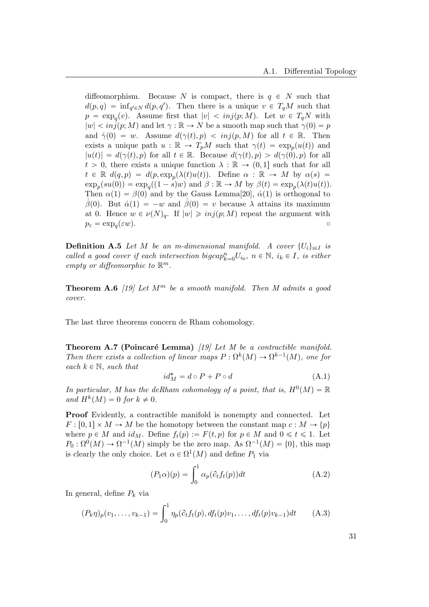diffeomorphism. Because N is compact, there is  $q \in N$  such that  $d(p,q) = \inf_{q' \in N} d(p,q')$ . Then there is a unique  $v \in T_qM$  such that  $p = \exp_q(v)$ . Assume first that  $|v| < inj(p; M)$ . Let  $w \in T_qN$  with  $|w| < inj(p; M)$  and let  $\gamma : \mathbb{R} \to N$  be a smooth map such that  $\gamma(0) = p$ and  $\dot{\gamma}(0) = w$ . Assume  $d(\gamma(t), p) < inj(p, M)$  for all  $t \in \mathbb{R}$ . Then exists a unique path  $u : \mathbb{R} \to T_pM$  such that  $\gamma(t) = \exp_p(u(t))$  and  $|u(t)| = d(\gamma(t), p)$  for all  $t \in \mathbb{R}$ . Because  $d(\gamma(t), p) > d(\gamma(0), p)$  for all  $t > 0$ , there exists a unique function  $\lambda : \mathbb{R} \to (0, 1]$  such that for all  $t \in \mathbb{R}$   $d(q, p) = d(p, \exp_p(\lambda(t)u(t)).$  Define  $\alpha : \mathbb{R} \to M$  by  $\alpha(s) =$  $\exp_p(su(0)) = \exp_q((1-s)w)$  and  $\beta : \mathbb{R} \to M$  by  $\beta(t) = \exp_p(\lambda(t)u(t)).$ Then  $\alpha(1) = \beta(0)$  and by the Gauss Lemma[\[20\]](#page-53-8),  $\dot{\alpha}(1)$  is orthogonal to β(0). But  $\dot{\alpha}(1) = -w$  and  $\beta(0) = v$  because λ attains its maximum at 0. Hence  $w \in \nu(N)_q$ . If  $|w| \geq inj(p; M)$  repeat the argument with  $p_{\varepsilon} = \exp_{q}(\varepsilon w).$  $(\varepsilon w).$ 

**Definition A.5** Let M be an m-dimensional manifold. A cover  $\{U_i\}_{i\in I}$  is called a good cover if each intersection bigcap $_{k=0}^n U_{i_0}$ ,  $n \in \mathbb{N}$ ,  $i_k \in I$ , is either empty or diffeomorphic to  $\mathbb{R}^m$ .

**Theorem A.6** [\[19\]](#page-53-7) Let  $M^m$  be a smooth manifold. Then M admits a good cover.

The last three theorems concern de Rham cohomology.

Theorem A.7 (Poincaré Lemma)  $[19]$  Let M be a contractible manifold. Then there exists a collection of linear maps  $P : \Omega^k(M) \to \Omega^{k-1}(M)$ , one for each  $k \in \mathbb{N}$ , such that

$$
id_M^* = d \circ P + P \circ d \tag{A.1}
$$

In particular, M has the deRham cohomology of a point, that is,  $H^0(M) = \mathbb{R}$ and  $H^k(M) = 0$  for  $k \neq 0$ .

Proof Evidently, a contractible manifold is nonempty and connected. Let  $F: [0, 1] \times M \rightarrow M$  be the homotopy between the constant map  $c: M \rightarrow \{p\}$ where  $p \in M$  and  $id_M$ . Define  $f_t(p) := F(t, p)$  for  $p \in M$  and  $0 \leq t \leq 1$ . Let  $P_0: \Omega^0(M) \to \Omega^{-1}(M)$  simply be the zero map. As  $\Omega^{-1}(M) = \{0\}$ , this map is clearly the only choice. Let  $\alpha \in \Omega^1(M)$  and define  $P_1$  via

$$
(P_1 \alpha)(p) = \int_0^1 \alpha_p(\partial_t f_t(p)) dt
$$
 (A.2)

In general, define  $P_k$  via

$$
(P_k \eta)_p(v_1, \dots, v_{k-1}) = \int_0^1 \eta_p(\partial_t f_t(p), df_t(p)v_1, \dots, df_t(p)v_{k-1}) dt \qquad (A.3)
$$

31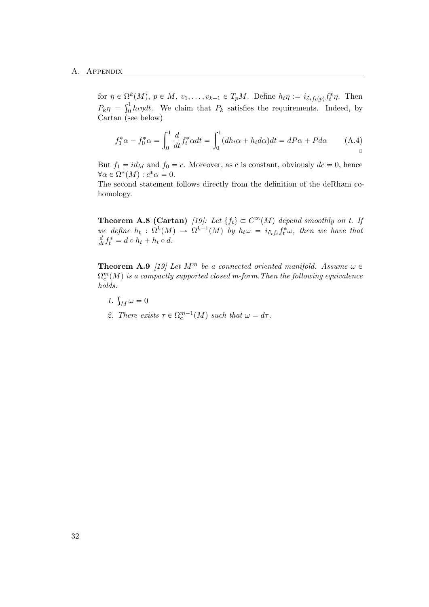for  $\eta \in \Omega^k(M)$ ,  $p \in M$ ,  $v_1, \ldots, v_{k-1} \in T_pM$ . Define  $h_t \eta := i_{\partial_t f_t(p)} f_t^* \eta$ . Then For  $\eta \in \Omega$ <br> $P_k \eta = \int_0^1$  $\int_0^1 h_t \eta dt$ . We claim that  $P_k$  satisfies the requirements. Indeed, by Cartan (see below)

$$
f_1^*\alpha - f_0^*\alpha = \int_0^1 \frac{d}{dt} f_t^*\alpha dt = \int_0^1 (dh_t\alpha + h_t d\alpha) dt = dP\alpha + Pd\alpha \qquad (A.4)
$$

But  $f_1 = id_M$  and  $f_0 = c$ . Moreover, as c is constant, obviously  $dc = 0$ , hence  $\forall \alpha \in \Omega^*(M) : c^*\alpha = 0.$ 

The second statement follows directly from the definition of the deRham cohomology.

**Theorem A.8 (Cartan)** [\[19\]](#page-53-7): Let  $\{f_t\} \subset C^{\infty}(M)$  depend smoothly on t. If we define  $h_t$ :  $\Omega^k(M) \to \Omega^{k-1}(M)$  by  $h_t \omega = i_{\partial_t f_t} f_t^* \omega$ , then we have that  $\frac{d}{dt}f_t^* = d \circ h_t + h_t \circ d.$ 

**Theorem A.9** [\[19\]](#page-53-7) Let  $M^m$  be a connected oriented manifold. Assume  $\omega \in$  $\Omega_c^{m}(M)$  is a compactly supported closed m-form.Then the following equivalence holds.

- 1.  $\int_M \omega = 0$
- 2. There exists  $\tau \in \Omega_c^{m-1}(M)$  such that  $\omega = d\tau$ .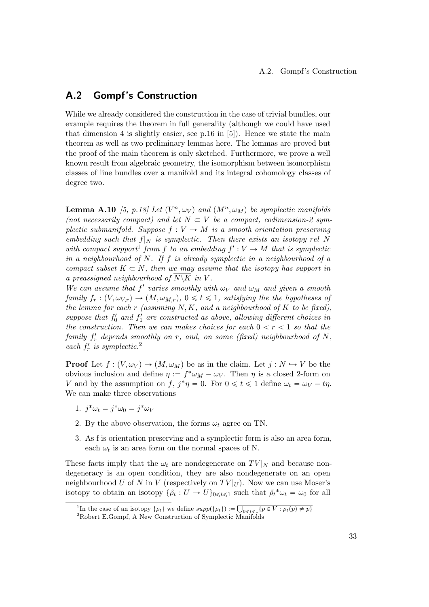### <span id="page-38-0"></span>A.2 Gompf's Construction

While we already considered the construction in the case of trivial bundles, our example requires the theorem in full generality (although we could have used that dimension 4 is slightly easier, see p.16 in [\[5\]](#page-52-2)). Hence we state the main theorem as well as two preliminary lemmas here. The lemmas are proved but the proof of the main theorem is only sketched. Furthermore, we prove a well known result from algebraic geometry, the isomorphism between isomorphism classes of line bundles over a manifold and its integral cohomology classes of degree two.

**Lemma A.10** [\[5,](#page-52-2) p.18] Let  $(V^n, \omega_V)$  and  $(M^n, \omega_M)$  be symplectic manifolds (not necessarily compact) and let  $N \subset V$  be a compact, codimension-2 symplectic submanifold. Suppose  $f: V \to M$  is a smooth orientation preserving embedding such that  $f|_N$  is symplectic. Then there exists an isotopy rel N with compact support<sup>[1](#page-38-1)</sup> from f to an embedding  $f': V \to M$  that is symplectic in a neighbourhood of  $N$ . If f is already symplectic in a neighbourhood of a compact subset  $K \subset N$ , then we may assume that the isotopy has support in a preassigned neighbourhood of  $\overline{N\setminus K}$  in V.

We can assume that  $f'$  varies smoothly with  $\omega_V$  and  $\omega_M$  and given a smooth family  $f_r: (V, \omega_{V,r}) \to (M, \omega_{M,r}), 0 \leq t \leq 1$ , satisfying the the hypotheses of the lemma for each  $r$  (assuming  $N, K$ , and a neighbourhood of  $K$  to be fixed), suppose that  $f'_0$  and  $f'_1$  are constructed as above, allowing different choices in the construction. Then we can makes choices for each  $0 < r < 1$  so that the  $family \ f'_r \ depends \ smoothly \ on \ r, \ and, \ on \ some \ (fixed) \ neighborhood \ of \ N,$ each  $f'_r$  is symplectic.<sup>[2](#page-38-2)</sup>

**Proof** Let  $f : (V, \omega_V) \to (M, \omega_M)$  be as in the claim. Let  $j : N \to V$  be the obvious inclusion and define  $\eta := f^* \omega_M - \omega_V$ . Then  $\eta$  is a closed 2-form on V and by the assumption on f,  $j^*\eta = 0$ . For  $0 \le t \le 1$  define  $\omega_t = \omega_V - t\eta$ . We can make three observations

- 1.  $j^*\omega_t = j^*\omega_0 = j^*\omega_V$
- 2. By the above observation, the forms  $\omega_t$  agree on TN.
- 3. As f is orientation preserving and a symplectic form is also an area form, each  $\omega_t$  is an area form on the normal spaces of N.

These facts imply that the  $\omega_t$  are nondegenerate on  $TV|_N$  and because nondegeneracy is an open condition, they are also nondegenerate on an open neighbourhood U of N in V (respectively on  $TV|_U$ ). Now we can use Moser's isotopy to obtain an isotopy  $\{\tilde{\rho}_t: U \to U\}_{0 \leq t \leq 1}$  such that  $\tilde{\rho}_t^* \omega_t = \omega_0$  for all

<span id="page-38-1"></span><sup>&</sup>lt;sup>1</sup>In the case of an isotopy  $\{\rho_t\}$  we define  $supp(\{\rho_t\})$  :=  $\overline{\phantom{0}}$  $\bigcup_{0\leq t\leq 1} \{p\in V : \rho_t(p)\neq p\}$ 

<span id="page-38-2"></span><sup>2</sup>Robert E.Gompf, A New Construction of Symplectic Manifolds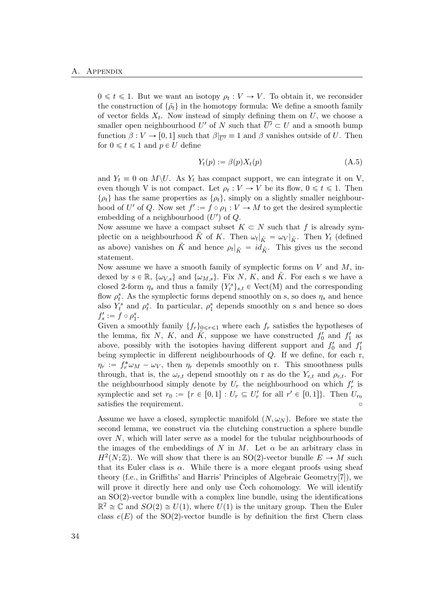$0 \leq t \leq 1$ . But we want an isotopy  $\rho_t : V \to V$ . To obtain it, we reconsider the construction of  $\{\tilde{\rho}_t\}$  in the homotopy formula: We define a smooth family of vector fields  $X_t$ . Now instead of simply defining them on U, we choose a smaller open neighbourhood U' of N such that  $\overline{U'} \subset U$  and a smooth bump function  $\beta: V \to [0, 1]$  such that  $\beta|_{\overline{U'}} \equiv 1$  and  $\beta$  vanishes outside of U. Then for  $0 \leq t \leq 1$  and  $p \in U$  define

$$
Y_t(p) := \beta(p) X_t(p) \tag{A.5}
$$

and  $Y_t \equiv 0$  on  $M \backslash U$ . As  $Y_t$  has compact support, we can integrate it on V, even though V is not compact. Let  $\rho_t : V \to V$  be its flow,  $0 \leq t \leq 1$ . Then  $\{\rho_t\}$  has the same properties as  $\{\rho_t\}$ , simply on a slightly smaller neighbourhood of U' of Q. Now set  $f' := f \circ \rho_1 : V \to M$  to get the desired symplectic embedding of a neighbourhood  $(U')$  of  $Q$ .

Now assume we have a compact subset  $K \subset N$  such that f is already symplectic on a neighbourhood  $\tilde{K}$  of K. Then  $\omega_t|_{\tilde{K}} = \omega_V|_{\tilde{K}}$ . Then  $Y_t$  (defined as above) vanishes on  $\tilde{K}$  and hence  $\rho_t|_{\tilde{K}} = id_{\tilde{K}}$ . This gives us the second statement.

Now assume we have a smooth family of symplectic forms on  $V$  and  $M$ , indexed by  $s \in \mathbb{R}$ ,  $\{\omega_{V,s}\}$  and  $\{\omega_{M,s}\}$ . Fix N, K, and K. For each s we have a closed 2-form  $\eta_s$  and thus a family  $\{Y_t^s\}_{s,t} \in \text{Vect}(\mathbf{M})$  and the corresponding flow  $\rho_t^s$ . As the symplectic forms depend smoothly on s, so does  $\eta_s$  and hence also  $Y_t^s$  and  $\rho_t^s$ . In particular,  $\rho_1^s$  depends smoothly on s and hence so does  $f'_s := f \circ \rho_1^s$ .

Given a smoothly family  $\{f_r\}_{0\leq r\leq 1}$  where each  $f_r$  satisfies the hypotheses of the lemma, fix N, K, and  $\tilde{K}$ , suppose we have constructed  $f'_0$  and  $f'_1$  as above, possibly with the isotopies having different support and  $f'_0$  and  $f'_1$ being symplectic in different neighbourhoods of Q. If we define, for each r,  $\eta_r := f_r^* \omega_M - \omega_V$ , then  $\eta_r$  depends smoothly on r. This smoothness pulls through, that is, the  $\omega_{r,t}$  depend smoothly on r as do the  $Y_{r,t}$  and  $\rho_{r,t}$ . For the neighbourhood simply denote by  $U_r$  the neighbourhood on which  $f'_r$  is symplectic and set  $r_0 := \{r \in [0,1] : U_r \subseteq U'_r \text{ for all } r' \in [0,1]\}.$  Then  $U_{r_0}$ satisfies the requirement.

Assume we have a closed, symplectic manifold  $(N, \omega_N)$ . Before we state the second lemma, we construct via the clutching construction a sphere bundle over N, which will later serve as a model for the tubular neighbourhoods of the images of the embeddings of N in M. Let  $\alpha$  be an arbitrary class in  $H^2(N;\mathbb{Z})$ . We will show that there is an SO(2)-vector bundle  $E \to M$  such that its Euler class is  $\alpha$ . While there is a more elegant proofs using sheaf theory (f.e., in Griffiths' and Harris' Principles of Algebraic Geometry[\[7\]](#page-52-9)), we will prove it directly here and only use  $\tilde{C}$ ech cohomology. We will identify an SO(2)-vector bundle with a complex line bundle, using the identifications  $\mathbb{R}^2 \cong \mathbb{C}$  and  $SO(2) \cong U(1)$ , where  $U(1)$  is the unitary group. Then the Euler class  $e(E)$  of the SO(2)-vector bundle is by definition the first Chern class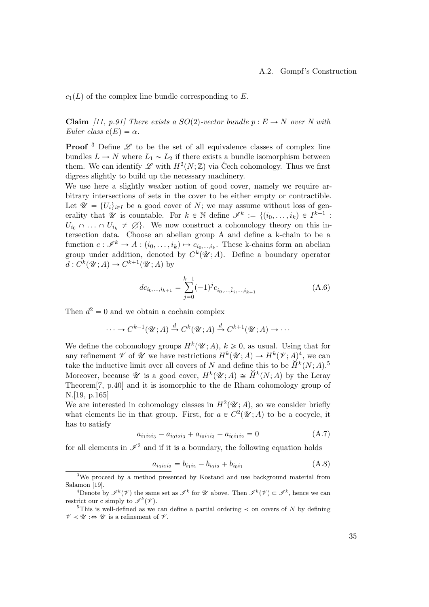$c_1(L)$  of the complex line bundle corresponding to E.

**Claim** [\[11,](#page-53-9) p.91] There exists a SO(2)-vector bundle  $p : E \to N$  over N with Euler class  $e(E) = \alpha$ .

**Proof**  $3$  Define  $\mathscr L$  to be the set of all equivalence classes of complex line bundles  $L \to N$  where  $L_1 \sim L_2$  if there exists a bundle isomorphism between them. We can identify  $\mathscr L$  with  $H^2(N;\mathbb Z)$  via Čech cohomology. Thus we first digress slightly to build up the necessary machinery.

We use here a slightly weaker notion of good cover, namely we require arbitrary intersections of sets in the cover to be either empty or contractible. Let  $\mathscr{U} = \{U_i\}_{i\in I}$  be a good cover of N; we may assume without loss of generality that  $\mathscr U$  is countable. For  $k \in \mathbb N$  define  $\mathscr I^k := \{(i_0, \ldots, i_k) \in I^{k+1}$ :  $U_{i_0} \cap \ldots \cap U_{i_k} \neq \emptyset$ . We now construct a cohomology theory on this intersection data. Choose an abelian group A and define a k-chain to be a function  $c: \mathscr{I}^k \to A: (i_0, \ldots, i_k) \mapsto c_{i_0,\ldots,i_k}$ . These k-chains form an abelian group under addition, denoted by  $C^k(\mathscr{U};A)$ . Define a boundary operator  $d: C^k(\mathcal{U}; A) \to C^{k+1}(\mathcal{U}; A)$  by

$$
dc_{i_0,\dots,i_{k+1}} = \sum_{j=0}^{k+1} (-1)^j c_{i_0,\dots,\hat{i}_j,\dots,i_{k+1}}
$$
(A.6)

Then  $d^2 = 0$  and we obtain a cochain complex

$$
\cdots \to C^{k-1}(\mathcal{U};A) \xrightarrow{d} C^k(\mathcal{U};A) \xrightarrow{d} C^{k+1}(\mathcal{U};A) \to \cdots
$$

We define the cohomology groups  $H^k(\mathscr{U};A)$ ,  $k \geq 0$ , as usual. Using that for any refinement  $\mathscr V$  of  $\mathscr U$  we have restrictions  $H^k(\mathscr U; A) \to H^k(\mathscr V; A)^4$  $H^k(\mathscr U; A) \to H^k(\mathscr V; A)^4$ , we can take the inductive limit over all covers of N and define this to be  $H^k(N; A)$ .<sup>[5](#page-40-2)</sup> Moreover, because *U* is a good cover,  $H^k(\mathcal{U};A) \cong \check{H}^k(N;A)$  by the Leray Theorem[\[7,](#page-52-9) p.40] and it is isomorphic to the de Rham cohomology group of N.[\[19,](#page-53-7) p.165]

We are interested in cohomology classes in  $H^2(\mathcal{U};A)$ , so we consider briefly what elements lie in that group. First, for  $a \in C^2(\mathscr{U}; A)$  to be a cocycle, it has to satisfy

$$
a_{i_1 i_2 i_3} - a_{i_0 i_2 i_3} + a_{i_0 i_1 i_3} - a_{i_0 i_1 i_2} = 0 \tag{A.7}
$$

for all elements in  $\mathscr{I}^2$  and if it is a boundary, the following equation holds

$$
a_{i_0 i_1 i_2} = b_{i_1 i_2} - b_{i_0 i_2} + b_{i_0 i_1}
$$
\n(A.8)

<span id="page-40-0"></span><sup>3</sup>We proceed by a method presented by Kostand and use background material from Salamon [\[19\]](#page-53-7).

<span id="page-40-1"></span><sup>&</sup>lt;sup>4</sup>Denote by  $\mathscr{I}^k(\mathscr{V})$  the same set as  $\mathscr{I}^k$  for  $\mathscr{U}$  above. Then  $\mathscr{I}^k(\mathscr{V}) \subset \mathscr{I}^k$ , hence we can restrict our c simply to  $\mathscr{I}^k(\mathscr{V})$ .

<span id="page-40-2"></span><sup>&</sup>lt;sup>5</sup>This is well-defined as we can define a partial ordering  $\prec$  on covers of N by defining  $\mathscr{V} \prec \mathscr{U} : \Leftrightarrow \mathscr{U}$  is a refinement of  $\mathscr{V}$ .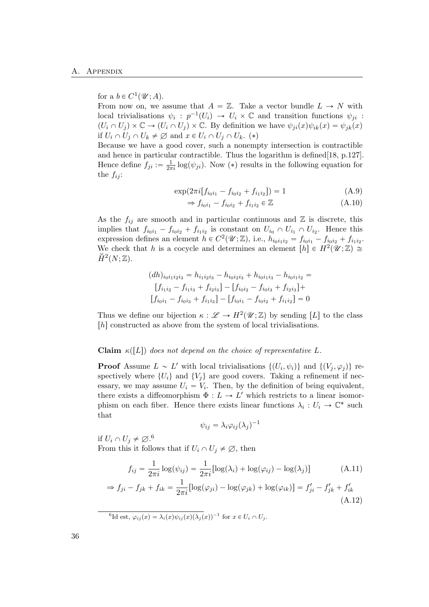### for a  $b \in C^1(\mathcal{U}; A)$ .

From now on, we assume that  $A = \mathbb{Z}$ . Take a vector bundle  $L \to N$  with local trivialisations  $\psi_i: p^{-1}(U_i) \to U_i \times \mathbb{C}$  and transition functions  $\psi_{ji}$ :  $(U_i \cap U_j) \times \mathbb{C} \to (U_i \cap U_j) \times \mathbb{C}$ . By definition we have  $\psi_{ji}(x)\psi_{ik}(x) = \psi_{jk}(x)$ if  $U_i \cap U_j \cap U_k \neq \emptyset$  and  $x \in U_i \cap U_j \cap U_k$ . (\*)

Because we have a good cover, such a nonempty intersection is contractible and hence in particular contractible. Thus the logarithm is defined[\[18,](#page-53-10) p.127]. Hence define  $f_{ji} := \frac{1}{2\pi i} \log(\psi_{ji})$ . Now (\*) results in the following equation for the  $f_{ij}$ :

$$
\exp(2\pi i[f_{i_0i_1} - f_{i_0i_2} + f_{i_1i_2}]) = 1\tag{A.9}
$$

$$
\Rightarrow f_{i_0i_1} - f_{i_0i_2} + f_{i_1i_2} \in \mathbb{Z}
$$
\n
$$
(A.10)
$$

As the  $f_{ij}$  are smooth and in particular continuous and  $\mathbb Z$  is discrete, this implies that  $f_{i_0i_1} - f_{i_0i_2} + f_{i_1i_2}$  is constant on  $U_{i_0} \cap U_{i_1} \cap U_{i_2}$ . Hence this expression defines an element  $h \in C^2(\mathscr{U}; \mathbb{Z})$ , i.e.,  $h_{i_0i_1i_2} = f_{i_0i_1} - f_{i_0i_2} + f_{i_1i_2}$ . We check that h is a cocycle and determines an element  $[h] \in H^2(\mathscr{U}; \mathbb{Z}) \cong$  $\check{H}^2(N;\mathbb{Z})$ .

$$
(dh)_{i_0i_1i_2i_3} = h_{i_1i_2i_3} - h_{i_0i_2i_3} + h_{i_0i_1i_3} - h_{i_0i_1i_2} =
$$

$$
[f_{i_1i_2} - f_{i_1i_3} + f_{i_2i_3}] - [f_{i_0i_2} - f_{i_0i_3} + f_{i_2i_3}] +
$$

$$
[f_{i_0i_1} - f_{i_0i_3} + f_{i_1i_3}] - [f_{i_0i_1} - f_{i_0i_2} + f_{i_1i_2}] = 0
$$

Thus we define our bijection  $\kappa : \mathscr{L} \to H^2(\mathscr{U}; \mathbb{Z})$  by sending [L] to the class  $[h]$  constructed as above from the system of local trivialisations.

#### Claim  $\kappa(L)$  does not depend on the choice of representative L.

**Proof** Assume  $L \sim L'$  with local trivialisations  $\{(U_i, \psi_i)\}\$  and  $\{(V_j, \varphi_j)\}\$ respectively where  $\{U_i\}$  and  $\{V_j\}$  are good covers. Taking a refinement if necessary, we may assume  $U_i = V_i$ . Then, by the definition of being equivalent, there exists a diffeomorphism  $\Phi: L \to L'$  which restricts to a linear isomorphism on each fiber. Hence there exists linear functions  $\lambda_i: U_i \to \mathbb{C}^*$  such that

$$
\psi_{ij} = \lambda_i \varphi_{ij} (\lambda_j)^{-1}
$$

if  $U_i \cap U_j \neq \emptyset$ .<sup>[6](#page-41-0)</sup> From this it follows that if  $U_i \cap U_j \neq \emptyset$ , then

$$
f_{ij} = \frac{1}{2\pi i} \log(\psi_{ij}) = \frac{1}{2\pi i} [\log(\lambda_i) + \log(\varphi_{ij}) - \log(\lambda_j)] \tag{A.11}
$$

$$
\Rightarrow f_{ji} - f_{jk} + f_{ik} = \frac{1}{2\pi i} [\log(\varphi_{ji}) - \log(\varphi_{jk}) + \log(\varphi_{ik})] = f'_{ji} - f'_{jk} + f'_{ik} \tag{A.12}
$$

<span id="page-41-0"></span><sup>6</sup>Id est,  $\varphi_{ij}(x) = \lambda_i(x)\psi_{ij}(x)(\lambda_j(x))^{-1}$  for  $x \in U_i \cap U_j$ .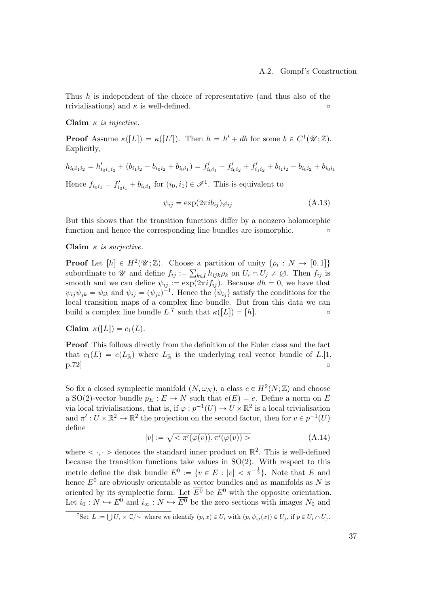Thus h is independent of the choice of representative (and thus also of the trivialisations) and  $\kappa$  is well-defined.

#### Claim  $\kappa$  is injective.

**Proof** Assume  $\kappa([L]) = \kappa([L'])$ . Then  $h = h' + db$  for some  $b \in C^1(\mathcal{U}; \mathbb{Z})$ . Explicitly,

$$
h_{i_0i_1i_2} = h'_{i_0i_1i_2} + (b_{i_1i_2} - b_{i_0i_2} + b_{i_0i_1}) = f'_{i_0i_1} - f'_{i_0i_2} + f'_{i_1i_2} + b_{i_1i_2} - b_{i_0i_2} + b_{i_0i_1}
$$

Hence  $f_{i_0i_1} = f'_{i_0i_1} + b_{i_0i_1}$  for  $(i_0, i_1) \in \mathcal{I}^1$ . This is equivalent to

$$
\psi_{ij} = \exp(2\pi i b_{ij}) \varphi_{ij} \tag{A.13}
$$

But this shows that the transition functions differ by a nonzero holomorphic function and hence the corresponding line bundles are isomorphic.

#### Claim  $\kappa$  is surjective.

**Proof** Let  $[h] \in H^2(\mathcal{U}; \mathbb{Z})$ . Choose a partition of unity  $\{\rho_i : N \to [0, 1]\}$ subordinate to  $\mathscr U$  and define  $f_{ij} := \sum_{k \in I} h_{ijk} \rho_k$  on  $U_i \cap U_j \neq \emptyset$ . Then  $f_{ij}$  is  $k \in I$ smooth and we can define  $\psi_{ij} := \exp(2\pi i f_{ij})$ . Because  $dh = 0$ , we have that  $\psi_{ij}\psi_{jk} = \psi_{ik}$  and  $\psi_{ij} = (\psi_{ji})^{-1}$ . Hence the  $\{\psi_{ij}\}\$  satisfy the conditions for the local transition maps of a complex line bundle. But from this data we can build a complex line bundle  $L^7$  $L^7$  such that  $\kappa([L]) = [h]$ .

Claim  $\kappa([L]) = c_1(L)$ .

Proof This follows directly from the definition of the Euler class and the fact that  $c_1(L) = e(L_{\mathbb{R}})$  where  $L_{\mathbb{R}}$  is the underlying real vector bundle of L.[\[1,](#page-52-0)  $\left[ \text{p.72}\right]$   $\qquad \qquad \Box$ 

So fix a closed symplectic manifold  $(N, \omega_N)$ , a class  $e \in H^2(N; \mathbb{Z})$  and choose a SO(2)-vector bundle  $p_E : E \to N$  such that  $e(E) = e$ . Define a norm on E via local trivialisations, that is, if  $\varphi : p^{-1}(U) \to U \times \mathbb{R}^2$  is a local trivialisation and  $\pi': U \times \mathbb{R}^2 \to \mathbb{R}^2$  the projection on the second factor, then for  $v \in p^{-1}(U)$ define

$$
|v| := \sqrt{\langle \pi'(\varphi(v)), \pi'(\varphi(v)) \rangle} \tag{A.14}
$$

where  $\langle \cdot, \cdot \rangle$  denotes the standard inner product on  $\mathbb{R}^2$ . This is well-defined because the transition functions take values in  $SO(2)$ . With respect to this metric define the disk bundle  $E^0 := \{v \in E : |v| < \pi^{-\frac{1}{2}}\}$ . Note that E and hence  $E^0$  are obviously orientable as vector bundles and as manifolds as N is oriented by its symplectic form. Let  $\overline{E^0}$  be  $E^0$  with the opposite orientation. Let  $i_0 : N \hookrightarrow E^0$  and  $i_{\infty} : N \hookrightarrow \overline{E^0}$  be the zero sections with images  $N_0$  and

<span id="page-42-0"></span>That  $I := \bigcup U_i \times \mathbb{C}/\sim$  where we identify  $(p, x) \in U_i$  with  $(p, \psi_{ij}(x)) \in U_j$ , if  $p \in U_i \cap U_j$ .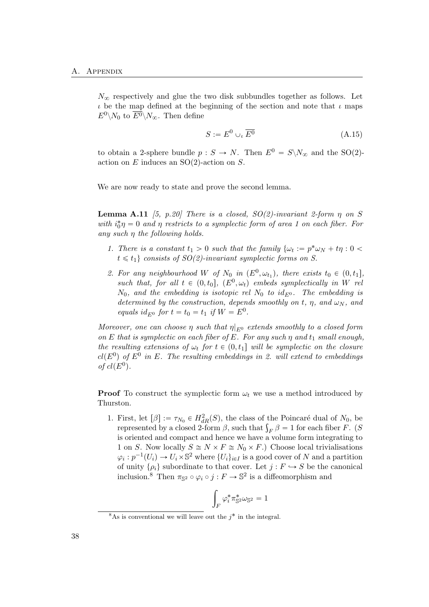$N_{\infty}$  respectively and glue the two disk subbundles together as follows. Let  $\iota$  be the map defined at the beginning of the section and note that  $\iota$  maps  $E^0 \backslash N_0$  to  $\overline{E^0} \backslash N_\infty$ . Then define

$$
S := E^0 \cup_{\iota} \overline{E^0} \tag{A.15}
$$

to obtain a 2-sphere bundle  $p : S \to N$ . Then  $E^0 = S \backslash N_{\infty}$  and the SO(2)action on  $E$  induces an  $SO(2)$ -action on  $S$ .

We are now ready to state and prove the second lemma.

**Lemma A.11** [\[5,](#page-52-2) p.20] There is a closed,  $SO(2)$ -invariant 2-form  $\eta$  on S with  $i_0^*\eta = 0$  and  $\eta$  restricts to a symplectic form of area 1 on each fiber. For any such  $\eta$  the following holds.

- 1. There is a constant  $t_1 > 0$  such that the family  $\{\omega_t := p^* \omega_N + t\eta : 0 \leq \omega_N\}$  $t \leq t_1$  consists of  $SO(2)$ -invariant symplectic forms on S.
- 2. For any neighbourhood W of  $N_0$  in  $(E^0, \omega_{t_1})$ , there exists  $t_0 \in (0, t_1]$ , such that, for all  $t \in (0, t_0]$ ,  $(E^0, \omega_t)$  embeds symplectically in W rel  $N_0$ , and the embedding is isotopic rel  $N_0$  to id<sub> $F^0$ </sub>. The embedding is determined by the construction, depends smoothly on t,  $\eta$ , and  $\omega_N$ , and equals  $id_{E^0}$  for  $t = t_0 = t_1$  if  $W = E^0$ .

Moreover, one can choose  $\eta$  such that  $\eta|_{E^0}$  extends smoothly to a closed form on E that is symplectic on each fiber of E. For any such  $\eta$  and  $t_1$  small enough the resulting extensions of  $\omega_t$  for  $t \in (0, t_1]$  will be symplectic on the closure  $cl(E^0)$  of  $E^0$  in E. The resulting embeddings in 2. will extend to embeddings of  $cl(E^0)$ .

**Proof** To construct the symplectic form  $\omega_t$  we use a method introduced by Thurston.

1. First, let  $[\beta] := \tau_{N_0} \in H^2_{dR}(S)$ , the class of the Poincaré dual of  $N_0$ , be First, let  $[\beta] := \tau_{N_0} \in H_{dR}^2(S)$ , the class of the Poincaré dual of  $N_0$ , be represented by a closed 2-form  $\beta$ , such that  $\int_F \beta = 1$  for each fiber F. (S is oriented and compact and hence we have a volume form integrating to 1 on S. Now locally  $S \cong N \times F \cong N_0 \times F$ .) Choose local trivialisations  $\varphi_i : p^{-1}(U_i) \to U_i \times \mathbb{S}^2$  where  $\{U_i\}_{i \in I}$  is a good cover of N and a partition of unity  $\{\rho_i\}$  subordinate to that cover. Let  $j : F \hookrightarrow S$  be the canonical inclusion.<sup>[8](#page-43-0)</sup> Then  $\pi_{\mathbb{S}^2} \circ \varphi_i \circ j : F \to \mathbb{S}^2$  is a diffeomorphism and

$$
\int_F \varphi_i^* \pi_{\mathbb{S}^2}^* \omega_{\mathbb{S}^2} = 1
$$

<span id="page-43-0"></span> $8$ As is conventional we will leave out the  $j^*$  in the integral.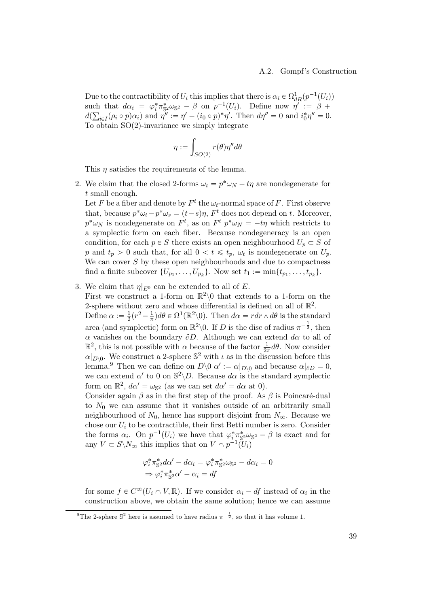Due to the contractibility of  $U_i$  this implies that there is  $\alpha_i \in \Omega_{dR}^1(p^{-1}(U_i))$ such that  $d\alpha_i = \varphi_i^* \pi_{\mathbb{S}^2}^* \omega_{\mathbb{S}^2} - \beta$  on  $p^{-1}(U_i)$ . Define now  $\eta' := \beta + \eta$  $d(\sum_{i\in I}(\rho_i\circ p)\alpha_i)$  and  $\eta'':=\eta'-(i_0\circ p)^*\eta'.$  Then  $d\eta''=0$  and  $i_0^*\eta''=0$ . To obtain SO(2)-invariance we simply integrate

$$
\eta := \int_{SO(2)} r(\theta) \eta'' d\theta
$$

This  $\eta$  satisfies the requirements of the lemma.

2. We claim that the closed 2-forms  $\omega_t = p^* \omega_N + t\eta$  are nondegenerate for t small enough.

Let F be a fiber and denote by  $F^t$  the  $\omega_t$ -normal space of F. First observe that, because  $p^*\omega_t - p^*\omega_s = (t - s)\eta$ ,  $F^t$  does not depend on t. Moreover,  $p^*\omega_N$  is nondegenerate on  $F^t$ , as on  $F^t$   $p^*\omega_N = -t\eta$  which restricts to a symplectic form on each fiber. Because nondegeneracy is an open condition, for each  $p \in S$  there exists an open neighbourhood  $U_p \subset S$  of p and  $t_p > 0$  such that, for all  $0 < t \leq t_p$ ,  $\omega_t$  is nondegenerate on  $U_p$ . We can cover  $S$  by these open neighbourhoods and due to compactness find a finite subcover  $\{U_{p_1}, \ldots, U_{p_k}\}$ . Now set  $t_1 := \min\{t_{p_1}, \ldots, t_{p_k}\}.$ 

3. We claim that  $\eta|_{E^0}$  can be extended to all of E.

First we construct a 1-form on  $\mathbb{R}^2\setminus 0$  that extends to a 1-form on the 2-sphere without zero and whose differential is defined on all of  $\mathbb{R}^2$ .

Define  $\alpha := \frac{1}{2}$  $\frac{1}{2}(r^2 - \frac{1}{\pi})$  $\frac{1}{\pi}$ ) $d\theta \in \Omega^1(\mathbb{R}^2\backslash 0)$ . Then  $d\alpha = r dr \wedge d\theta$  is the standard area (and symplectic) form on  $\mathbb{R}^2\setminus 0$ . If D is the disc of radius  $\pi^{-\frac{1}{2}}$ , then  $\alpha$  vanishes on the boundary  $\partial D$ . Although we can extend  $d\alpha$  to all of  $\mathbb{R}^2$ , this is not possible with  $\alpha$  because of the factor  $\frac{1}{2\pi}d\theta$ . Now consider  $\alpha|_{D\setminus 0}$ . We construct a 2-sphere  $\mathbb{S}^2$  with  $\iota$  as in the discussion before this lemma.<sup>[9](#page-44-0)</sup> Then we can define on  $D \setminus 0$   $\alpha' := \alpha|_{D \setminus 0}$  and because  $\alpha|_{\partial D} = 0$ , we can extend  $\alpha'$  to 0 on  $\mathbb{S}^2 \backslash D$ . Because  $d\alpha$  is the standard symplectic form on  $\mathbb{R}^2$ ,  $d\alpha' = \omega_{\mathbb{S}^2}$  (as we can set  $d\alpha' = d\alpha$  at 0).

Consider again  $\beta$  as in the first step of the proof. As  $\beta$  is Poincaré-dual to  $N_0$  we can assume that it vanishes outside of an arbitrarily small neighbourhood of  $N_0$ , hence has support disjoint from  $N_{\infty}$ . Because we chose our  $U_i$  to be contractible, their first Betti number is zero. Consider the forms  $\alpha_i$ . On  $p^{-1}(U_i)$  we have that  $\varphi_i^* \pi_{\mathbb{S}^2}^* \omega_{\mathbb{S}^2} - \beta$  is exact and for any  $V \subset S \backslash N_{\infty}$  this implies that on  $V \cap p^{-1}(U_i)$ 

$$
\varphi_i^* \pi_{\mathbb{S}^2}^* d\alpha' - d\alpha_i = \varphi_i^* \pi_{\mathbb{S}^2}^* \omega_{\mathbb{S}^2} - d\alpha_i = 0
$$
  
\n
$$
\Rightarrow \varphi_i^* \pi_{\mathbb{S}^2}^* \alpha' - \alpha_i = df
$$

for some  $f \in C^{\infty}(U_i \cap V, \mathbb{R})$ . If we consider  $\alpha_i - df$  instead of  $\alpha_i$  in the construction above, we obtain the same solution; hence we can assume

<span id="page-44-0"></span><sup>&</sup>lt;sup>9</sup>The 2-sphere  $\mathbb{S}^2$  here is assumed to have radius  $\pi^{-\frac{1}{2}}$ , so that it has volume 1.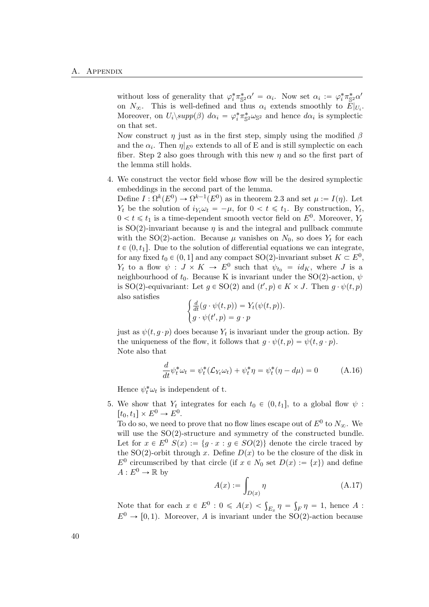without loss of generality that  $\varphi_i^* \pi_{\mathbb{S}^2}^* \alpha' = \alpha_i$ . Now set  $\alpha_i := \varphi_i^* \pi_{\mathbb{S}^2}^* \alpha'$ on  $N_{\infty}$ . This is well-defined and thus  $\alpha_i$  extends smoothly to  $E|_{U_i}$ . Moreover, on  $U_i$  $\langle supp(\beta) \, d\alpha_i = \varphi_i^* \pi_{\mathbb{S}^2}^* \omega_{\mathbb{S}^2}$  and hence  $d\alpha_i$  is symplectic on that set.

Now construct  $\eta$  just as in the first step, simply using the modified  $\beta$ and the  $\alpha_i$ . Then  $\eta|_{E^0}$  extends to all of E and is still symplectic on each fiber. Step 2 also goes through with this new  $\eta$  and so the first part of the lemma still holds.

4. We construct the vector field whose flow will be the desired symplectic embeddings in the second part of the lemma.

Define  $I: \Omega^k(E^0) \to \Omega^{k-1}(E^0)$  as in theorem 2.3 and set  $\mu := I(\eta)$ . Let  $Y_t$  be the solution of  $i_{Y_t} \omega_t = -\mu$ , for  $0 < t \leq t_1$ . By construction,  $Y_t$ ,  $0 < t \leq t_1$  is a time-dependent smooth vector field on  $E^0$ . Moreover,  $Y_t$ is  $SO(2)$ -invariant because  $\eta$  is and the integral and pullback commute with the SO(2)-action. Because  $\mu$  vanishes on  $N_0$ , so does  $Y_t$  for each  $t \in (0, t_1]$ . Due to the solution of differential equations we can integrate, for any fixed  $t_0 \in (0, 1]$  and any compact SO(2)-invariant subset  $K \subset E^0$ ,  $Y_t$  to a flow  $\psi : J \times K \to E^0$  such that  $\psi_{t_0} = id_K$ , where J is a neighbourhood of  $t_0$ . Because K is invariant under the SO(2)-action,  $\psi$ is SO(2)-equivariant: Let  $g \in SO(2)$  and  $(t', p) \in K \times J$ . Then  $g \cdot \psi(t, p)$ also satisfies #

$$
\begin{cases} \frac{d}{dt}(g \cdot \psi(t,p)) = Y_t(\psi(t,p)).\\ g \cdot \psi(t',p) = g \cdot p \end{cases}
$$

just as  $\psi(t, g \cdot p)$  does because  $Y_t$  is invariant under the group action. By the uniqueness of the flow, it follows that  $q \cdot \psi(t, p) = \psi(t, q \cdot p)$ . Note also that

$$
\frac{d}{dt}\psi_t^*\omega_t = \psi_t^*(\mathcal{L}_{Y_t}\omega_t) + \psi_t^*\eta = \psi_t^*(\eta - d\mu) = 0 \tag{A.16}
$$

Hence  $\psi_t^* \omega_t$  is independent of t.

5. We show that  $Y_t$  integrates for each  $t_0 \in (0, t_1]$ , to a global flow  $\psi$ :  $[t_0, t_1] \times E^0 \rightarrow E^0.$ 

To do so, we need to prove that no flow lines escape out of  $E^0$  to  $N_{\infty}$ . We will use the SO(2)-structure and symmetry of the constructed bundle. Let for  $x \in E^0$   $S(x) := \{g \cdot x : g \in SO(2)\}\$  denote the circle traced by the SO(2)-orbit through x. Define  $D(x)$  to be the closure of the disk in  $E^0$  circumscribed by that circle (if  $x \in N_0$  set  $D(x) := \{x\}$ ) and define  $A: E^0 \to \mathbb{R}$  by

$$
A(x) := \int_{D(x)} \eta \tag{A.17}
$$

Note that for each  $x \in E^0 : 0 \leq A(x) < \int_{E_x} \eta =$  $F_F \eta = 1$ , hence A :  $E^0 \rightarrow [0, 1)$ . Moreover, A is invariant under the SO(2)-action because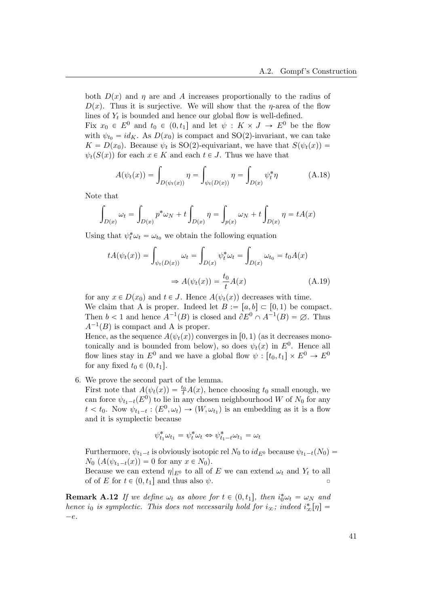both  $D(x)$  and  $\eta$  are and A increases proportionally to the radius of  $D(x)$ . Thus it is surjective. We will show that the  $\eta$ -area of the flow lines of  $Y_t$  is bounded and hence our global flow is well-defined.

Fix  $x_0 \in E^0$  and  $t_0 \in (0, t_1]$  and let  $\psi : K \times J \to E^0$  be the flow with  $\psi_{t_0} = id_K$ . As  $D(x_0)$  is compact and SO(2)-invariant, we can take  $K = D(x_0)$ . Because  $\psi_t$  is SO(2)-equivariant, we have that  $S(\psi_t(x)) =$  $\psi_t(S(x))$  for each  $x \in K$  and each  $t \in J$ . Thus we have that

$$
A(\psi_t(x)) = \int_{D(\psi_t(x))} \eta = \int_{\psi_t(D(x))} \eta = \int_{D(x)} \psi_t^* \eta \tag{A.18}
$$

Note that

$$
\int_{D(x)} \omega_t = \int_{D(x)} p^* \omega_N + t \int_{D(x)} \eta = \int_{p(x)} \omega_N + t \int_{D(x)} \eta = tA(x)
$$

Using that  $\psi_t^* \omega_t = \omega_{t_0}$  we obtain the following equation

$$
tA(\psi_t(x)) = \int_{\psi_t(D(x))} \omega_t = \int_{D(x)} \psi_t^* \omega_t = \int_{D(x)} \omega_{t_0} = t_0 A(x)
$$

$$
\Rightarrow A(\psi_t(x)) = \frac{t_0}{t} A(x) \tag{A.19}
$$

for any  $x \in D(x_0)$  and  $t \in J$ . Hence  $A(\psi_t(x))$  decreases with time. We claim that A is proper. Indeed let  $B := [a, b] \subset [0, 1)$  be compact. Then  $b < 1$  and hence  $A^{-1}(B)$  is closed and  $\partial E^0 \cap A^{-1}(B) = \emptyset$ . Thus  $A^{-1}(B)$  is compact and A is proper.

Hence, as the sequence  $A(\psi_t(x))$  converges in [0, 1) (as it decreases monotonically and is bounded from below), so does  $\psi_t(x)$  in  $E^0$ . Hence all flow lines stay in  $E^0$  and we have a global flow  $\psi : [t_0, t_1] \times E^0 \to E^0$ for any fixed  $t_0 \in (0, t_1]$ .

6. We prove the second part of the lemma.

First note that  $A(\psi_t(x)) = \frac{t_0}{t}A(x)$ , hence choosing  $t_0$  small enough, we can force  $\psi_{t_1-t}(E^0)$  to lie in any chosen neighbourhood W of  $N_0$  for any  $t < t_0$ . Now  $\psi_{t_1-t} : (E^0, \omega_t) \to (W, \omega_{t_1})$  is an embedding as it is a flow and it is symplectic because

$$
\psi_{t_1}^* \omega_{t_1} = \psi_t^* \omega_t \Leftrightarrow \psi_{t_1 - t}^* \omega_{t_1} = \omega_t
$$

Furthermore,  $\psi_{t_1-t}$  is obviously isotopic rel  $N_0$  to  $id_{E^0}$  because  $\psi_{t_1-t}(N_0)$  =  $N_0$   $(A(\psi_{t_1-t}(x)) = 0$  for any  $x \in N_0$ .

Because we can extend  $\eta|_{E^0}$  to all of E we can extend  $\omega_t$  and  $Y_t$  to all of of E for  $t \in (0, t_1]$  and thus also  $\psi$ .

**Remark A.12** If we define  $\omega_t$  as above for  $t \in (0, t_1]$ , then  $i_0^*\omega_t = \omega_N$  and hence i<sub>0</sub> is symplectic. This does not necessarily hold for  $i_{\infty}$ ; indeed  $i_{\infty}^{*}[\eta] =$  $-e.$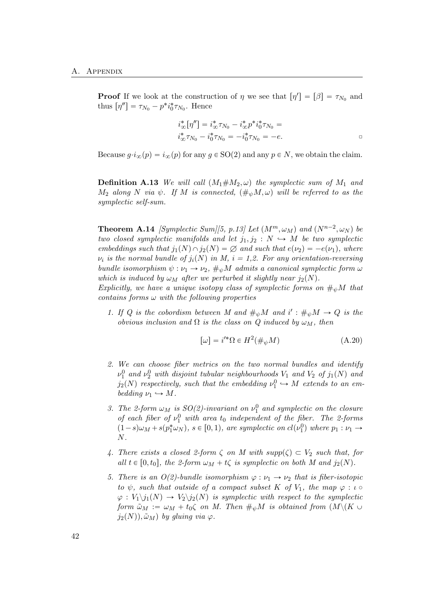**Proof** If we look at the construction of  $\eta$  we see that  $[\eta'] = [\beta] = \tau_{N_0}$  and thus  $[\eta''] = \tau_{N_0} - p^* i_0^* \tau_{N_0}$ . Hence

$$
\begin{aligned}\ni_{\infty}^* [\eta''] &= i_{\infty}^* \tau_{N_0} - i_{\infty}^* p^* i_0^* \tau_{N_0} = \\
i_{\infty}^* \tau_{N_0} - i_0^* \tau_{N_0} &= -i_0^* \tau_{N_0} = -e.\n\end{aligned}
$$

Because  $q \cdot i_{\infty}(p) = i_{\infty}(p)$  for any  $q \in SO(2)$  and any  $p \in N$ , we obtain the claim.

**Definition A.13** We will call  $(M_1 \# M_2, \omega)$  the symplectic sum of  $M_1$  and  $M_2$  along N via  $\psi$ . If M is connected,  $(\#_{\psi}M, \omega)$  will be referred to as the symplectic self-sum.

**Theorem A.14** [Symplectic Sum][\[5,](#page-52-2) p.13] Let  $(M^m, \omega_M)$  and  $(N^{n-2}, \omega_N)$  be two closed symplectic manifolds and let  $j_1, j_2 : N \rightarrow M$  be two symplectic embeddings such that  $j_1(N) \cap j_2(N) = \emptyset$  and such that  $e(\nu_2) = -e(\nu_1)$ , where  $\nu_i$  is the normal bundle of  $j_i(N)$  in M,  $i = 1,2$ . For any orientation-reversing bundle isomorphism  $\psi : \nu_1 \to \nu_2$ ,  $\#_{\psi}M$  admits a canonical symplectic form  $\omega$ which is induced by  $\omega_M$  after we perturbed it slightly near  $j_2(N)$ .

Explicitly, we have a unique isotopy class of symplectic forms on  $\#_{\psi}M$  that contains forms  $\omega$  with the following properties

1. If Q is the cobordism between M and  $\#_{\psi}M$  and  $i': \#_{\psi}M \to Q$  is the obvious inclusion and  $\Omega$  is the class on Q induced by  $\omega_M$ , then

$$
[\omega] = i'^* \Omega \in H^2(\#_\psi M) \tag{A.20}
$$

- 2. We can choose fiber metrics on the two normal bundles and identify  $\nu_1^0$  and  $\nu_2^0$  with disjoint tubular neighbourhoods  $V_1$  and  $V_2$  of  $j_1(N)$  and  $j_2(N)$  respectively, such that the embedding  $\nu_1^0 \hookrightarrow M$  extends to an embedding  $\nu_1 \hookrightarrow M$ .
- 3. The 2-form  $\omega_M$  is  $SO(2)$ -invariant on  $\nu_1^0$  and symplectic on the closure of each fiber of  $\nu_1^0$  with area  $t_0$  independent of the fiber. The 2-forms  $(1-s)\omega_M + s(p_1^*\omega_N)$ ,  $s \in [0,1)$ , are symplectic on  $cl(\nu_1^0)$  where  $p_1 : \nu_1 \rightarrow$ N.
- 4. There exists a closed 2-form  $\zeta$  on M with  $supp(\zeta) \subset V_2$  such that, for all  $t \in [0, t_0]$ , the 2-form  $\omega_M + t\zeta$  is symplectic on both M and  $j_2(N)$ .
- 5. There is an  $O(2)$ -bundle isomorphism  $\varphi : \nu_1 \to \nu_2$  that is fiber-isotopic to  $\psi$ , such that outside of a compact subset K of  $V_1$ , the map  $\varphi : \iota \circ$  $\varphi: V_1 \backslash j_1(N) \to V_2 \backslash j_2(N)$  is symplectic with respect to the symplectic form  $\tilde{\omega}_M := \omega_M + t_0 \zeta$  on M. Then  $\#_{\psi}M$  is obtained from  $(M\backslash (K \cup$  $j_2(N), \tilde{\omega}_M$ ) by gluing via  $\varphi$ .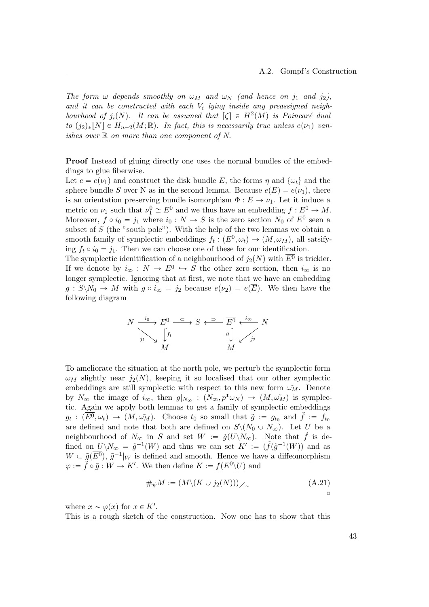The form  $\omega$  depends smoothly on  $\omega_M$  and  $\omega_N$  (and hence on j<sub>1</sub> and j<sub>2</sub>), and it can be constructed with each  $V_i$  lying inside any preassigned neighbourhood of  $j_i(N)$ . It can be assumed that  $[\zeta] \in H^2(M)$  is Poincaré dual to  $(j_2)_*[N] \in H_{n-2}(M; \mathbb{R})$ . In fact, this is necessarily true unless  $e(\nu_1)$  vanishes over  $\mathbb R$  on more than one component of N.

Proof Instead of gluing directly one uses the normal bundles of the embeddings to glue fiberwise.

Let  $e = e(\nu_1)$  and construct the disk bundle E, the forms  $\eta$  and  $\{\omega_t\}$  and the sphere bundle S over N as in the second lemma. Because  $e(E) = e(\nu_1)$ , there is an orientation preserving bundle isomorphism  $\Phi: E \to \nu_1$ . Let it induce a metric on  $\nu_1$  such that  $\nu_1^0 \cong E^0$  and we thus have an embedding  $f : E^0 \to M$ . Moreover,  $f \circ i_0 = j_1$  where  $i_0 : N \to S$  is the zero section  $N_0$  of  $E^0$  seen a subset of  $S$  (the "south pole"). With the help of the two lemmas we obtain a smooth family of symplectic embeddings  $f_t: (E^0, \omega_t) \to (M, \omega_M)$ , all satsifying  $f_t \circ i_0 = j_1$ . Then we can choose one of these for our identification.

The symplectic idenitification of a neighbourhood of  $j_2(N)$  with  $\overline{E^0}$  is trickier. If we denote by  $i_{\infty} : N \to \overline{E^0} \hookrightarrow S$  the other zero section, then  $i_{\infty}$  is no longer symplectic. Ignoring that at first, we note that we have an embedding  $g: S \backslash N_0 \to M$  with  $g \circ i_{\infty} = j_2$  because  $e(\nu_2) = e(\overline{E})$ . We then have the following diagram

$$
N \xrightarrow{j_0} E^0 \xrightarrow{C} S \xleftarrow{D} \overline{E^0} \xleftarrow{i_{\infty}} N
$$
  
\n
$$
j_1 \searrow \qquad \qquad \downarrow f_t
$$
  
\n
$$
M \qquad \qquad M
$$

To ameliorate the situation at the north pole, we perturb the symplectic form  $\omega_M$  slightly near  $j_2(N)$ , keeping it so localised that our other symplectic embeddings are still symplectic with respect to this new form  $\tilde{\omega_M}$ . Denote by  $N_{\infty}$  the image of  $i_{\infty}$ , then  $g|_{N_{\infty}} : (N_{\infty}, p^*\omega_N) \to (M, \omega_M^{\tilde{}})$  is symplectic. Again we apply both lemmas to get a family of symplectic embeddings  $g_t: (\overline{E^0}, \omega_t) \to (M, \omega_M)$ . Choose  $t_0$  so small that  $\tilde{g} := g_{t_0}$  and  $\tilde{f} := f_{t_0}$ are defined and note that both are defined on  $S\setminus (N_0 \cup N_\infty)$ . Let U be a neighbourhood of  $N_{\infty}$  in S and set  $W := \tilde{g}(U\backslash N_{\infty})$ . Note that  $\tilde{f}$  is defined on  $U\backslash N_\infty = \tilde{g}^{-1}(W)$  and thus we can set  $K' := (\tilde{f}(\tilde{g}^{-1}(W))$  and as  $W \subset \tilde{g}(\overline{E^0})$ ,  $\tilde{g}^{-1}|_W$  is defined and smooth. Hence we have a diffeomorphism  $\varphi := \tilde{f} \circ \tilde{g} : W \to K'.$  We then define  $K := f(E^0 \backslash U)$  and

$$
\#_{\psi} M := (M \setminus (K \cup j_2(N))) \times \tag{A.21}
$$

where  $x \sim \varphi(x)$  for  $x \in K'$ .

This is a rough sketch of the construction. Now one has to show that this

 $\Box$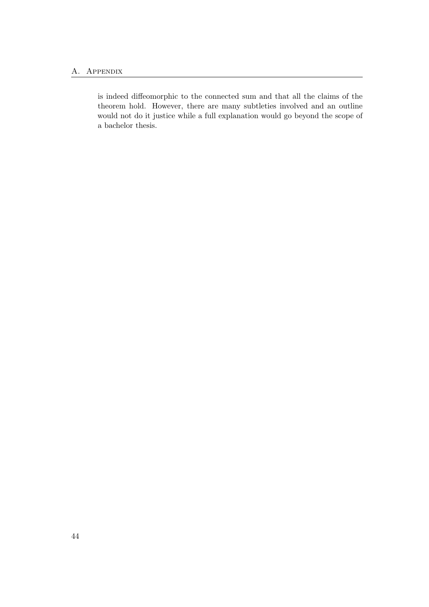is indeed diffeomorphic to the connected sum and that all the claims of the theorem hold. However, there are many subtleties involved and an outline would not do it justice while a full explanation would go beyond the scope of a bachelor thesis.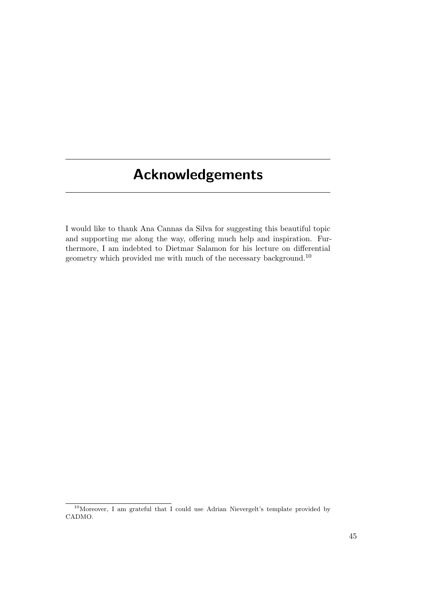# <span id="page-50-0"></span>Acknowledgements

I would like to thank Ana Cannas da Silva for suggesting this beautiful topic and supporting me along the way, offering much help and inspiration. Furthermore, I am indebted to Dietmar Salamon for his lecture on differential geometry which provided me with much of the necessary background.[10](#page-50-1)

<span id="page-50-1"></span> $10$ Moreover, I am grateful that I could use Adrian Nievergelt's template provided by CADMO.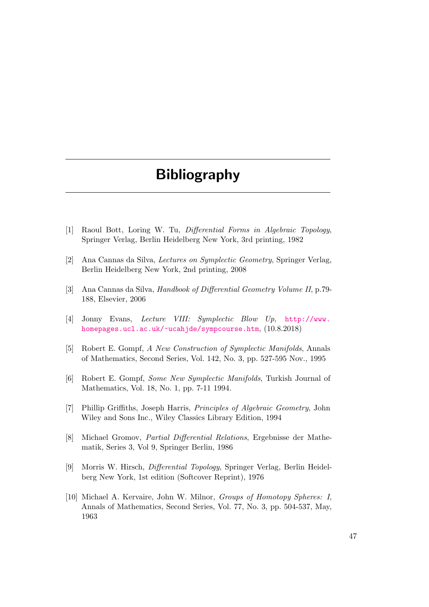# Bibliography

- <span id="page-52-0"></span>[1] Raoul Bott, Loring W. Tu, Differential Forms in Algebraic Topology, Springer Verlag, Berlin Heidelberg New York, 3rd printing, 1982
- <span id="page-52-3"></span>[2] Ana Cannas da Silva, Lectures on Symplectic Geometry, Springer Verlag, Berlin Heidelberg New York, 2nd printing, 2008
- <span id="page-52-4"></span>[3] Ana Cannas da Silva, Handbook of Differential Geometry Volume II, p.79- 188, Elsevier, 2006
- <span id="page-52-7"></span>[4] Jonny Evans, Lecture VIII: Symplectic Blow Up, [http://www.](http://www.homepages.ucl.ac.uk/~ucahjde/sympcourse.htm) [homepages.ucl.ac.uk/~ucahjde/sympcourse.htm](http://www.homepages.ucl.ac.uk/~ucahjde/sympcourse.htm),  $(10.8.2018)$
- <span id="page-52-2"></span>[5] Robert E. Gompf, A New Construction of Symplectic Manifolds, Annals of Mathematics, Second Series, Vol. 142, No. 3, pp. 527-595 Nov., 1995
- <span id="page-52-8"></span>[6] Robert E. Gompf, Some New Symplectic Manifolds, Turkish Journal of Mathematics, Vol. 18, No. 1, pp. 7-11 1994.
- <span id="page-52-9"></span>[7] Phillip Griffiths, Joseph Harris, Principles of Algebraic Geometry, John Wiley and Sons Inc., Wiley Classics Library Edition, 1994
- <span id="page-52-1"></span>[8] Michael Gromov, Partial Differential Relations, Ergebnisse der Mathematik, Series 3, Vol 9, Springer Berlin, 1986
- <span id="page-52-5"></span>[9] Morris W. Hirsch, Differential Topology, Springer Verlag, Berlin Heidelberg New York, 1st edition (Softcover Reprint), 1976
- <span id="page-52-6"></span>[10] Michael A. Kervaire, John W. Milnor, *Groups of Homotopy Spheres: I*, Annals of Mathematics, Second Series, Vol. 77, No. 3, pp. 504-537, May, 1963